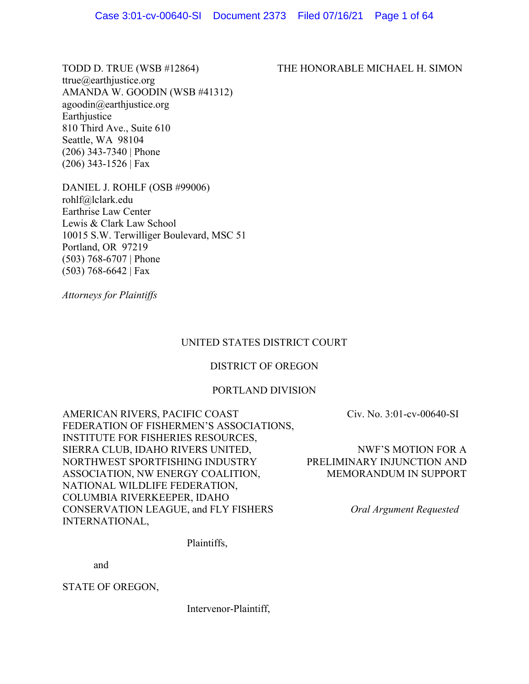ttrue@earthjustice.org AMANDA W. GOODIN (WSB #41312) agoodin@earthjustice.org Earthjustice 810 Third Ave., Suite 610 Seattle, WA 98104 (206) 343-7340 | Phone (206) 343-1526 | Fax

DANIEL J. ROHLF (OSB #99006) rohlf@lclark.edu Earthrise Law Center Lewis & Clark Law School 10015 S.W. Terwilliger Boulevard, MSC 51 Portland, OR 97219 (503) 768-6707 | Phone (503) 768-6642 | Fax

*Attorneys for Plaintiffs* 

# UNITED STATES DISTRICT COURT

# DISTRICT OF OREGON

# PORTLAND DIVISION

AMERICAN RIVERS, PACIFIC COAST FEDERATION OF FISHERMEN'S ASSOCIATIONS, INSTITUTE FOR FISHERIES RESOURCES, SIERRA CLUB, IDAHO RIVERS UNITED, NORTHWEST SPORTFISHING INDUSTRY ASSOCIATION, NW ENERGY COALITION, NATIONAL WILDLIFE FEDERATION, COLUMBIA RIVERKEEPER, IDAHO CONSERVATION LEAGUE, and FLY FISHERS INTERNATIONAL,

Plaintiffs,

and

STATE OF OREGON,

Intervenor-Plaintiff,

Civ. No. 3:01-cv-00640-SI

NWF'S MOTION FOR A PRELIMINARY INJUNCTION AND MEMORANDUM IN SUPPORT

*Oral Argument Requested* 

# TODD D. TRUE (WSB #12864) THE HONORABLE MICHAEL H. SIMON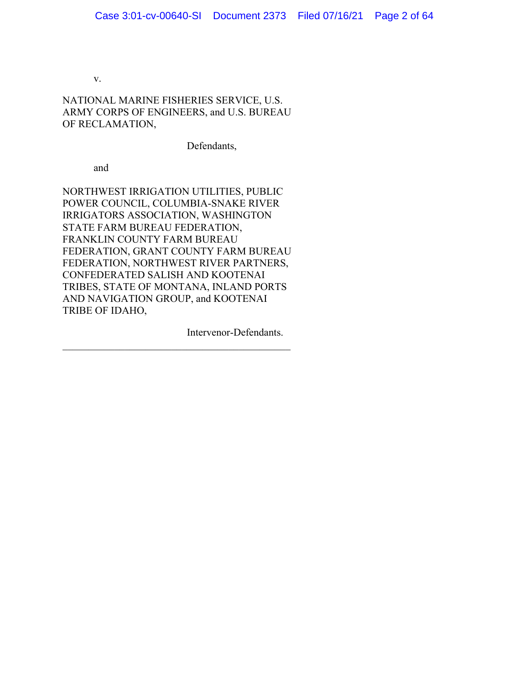v.

NATIONAL MARINE FISHERIES SERVICE, U.S. ARMY CORPS OF ENGINEERS, and U.S. BUREAU OF RECLAMATION,

Defendants,

and

NORTHWEST IRRIGATION UTILITIES, PUBLIC POWER COUNCIL, COLUMBIA-SNAKE RIVER IRRIGATORS ASSOCIATION, WASHINGTON STATE FARM BUREAU FEDERATION, FRANKLIN COUNTY FARM BUREAU FEDERATION, GRANT COUNTY FARM BUREAU FEDERATION, NORTHWEST RIVER PARTNERS, CONFEDERATED SALISH AND KOOTENAI TRIBES, STATE OF MONTANA, INLAND PORTS AND NAVIGATION GROUP, and KOOTENAI TRIBE OF IDAHO,

Intervenor-Defendants.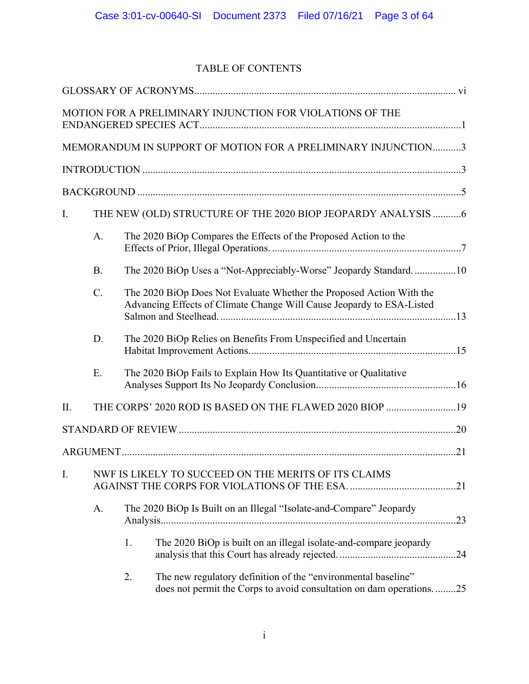# TABLE OF CONTENTS

|     |           |    | MOTION FOR A PRELIMINARY INJUNCTION FOR VIOLATIONS OF THE                                                                                     |  |
|-----|-----------|----|-----------------------------------------------------------------------------------------------------------------------------------------------|--|
|     |           |    | MEMORANDUM IN SUPPORT OF MOTION FOR A PRELIMINARY INJUNCTION3                                                                                 |  |
|     |           |    |                                                                                                                                               |  |
|     |           |    |                                                                                                                                               |  |
| I.  |           |    | THE NEW (OLD) STRUCTURE OF THE 2020 BIOP JEOPARDY ANALYSIS 6                                                                                  |  |
|     | A.        |    | The 2020 BiOp Compares the Effects of the Proposed Action to the                                                                              |  |
|     | <b>B.</b> |    | The 2020 BiOp Uses a "Not-Appreciably-Worse" Jeopardy Standard10                                                                              |  |
|     | C.        |    | The 2020 BiOp Does Not Evaluate Whether the Proposed Action With the<br>Advancing Effects of Climate Change Will Cause Jeopardy to ESA-Listed |  |
|     | D.        |    | The 2020 BiOp Relies on Benefits From Unspecified and Uncertain                                                                               |  |
|     | E.        |    | The 2020 BiOp Fails to Explain How Its Quantitative or Qualitative                                                                            |  |
| II. |           |    | THE CORPS' 2020 ROD IS BASED ON THE FLAWED 2020 BIOP 19                                                                                       |  |
|     |           |    |                                                                                                                                               |  |
|     |           |    |                                                                                                                                               |  |
|     |           |    | I. NWF IS LIKELY TO SUCCEED ON THE MERITS OF ITS CLAIMS                                                                                       |  |
|     | A.        |    | The 2020 BiOp Is Built on an Illegal "Isolate-and-Compare" Jeopardy                                                                           |  |
|     |           | 1. | The 2020 BiOp is built on an illegal isolate-and-compare jeopardy                                                                             |  |
|     |           | 2. | The new regulatory definition of the "environmental baseline"<br>does not permit the Corps to avoid consultation on dam operations25          |  |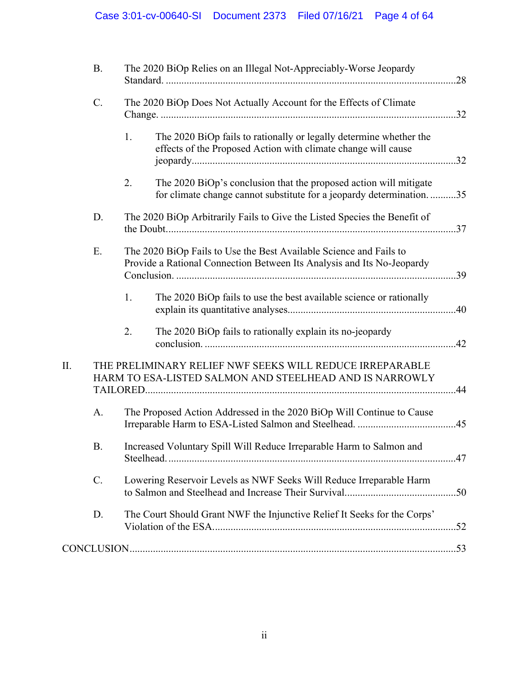|    | <b>B.</b> |    | The 2020 BiOp Relies on an Illegal Not-Appreciably-Worse Jeopardy                                                                            |  |
|----|-----------|----|----------------------------------------------------------------------------------------------------------------------------------------------|--|
|    | C.        |    | The 2020 BiOp Does Not Actually Account for the Effects of Climate                                                                           |  |
|    |           | 1. | The 2020 BiOp fails to rationally or legally determine whether the<br>effects of the Proposed Action with climate change will cause          |  |
|    |           | 2. | The 2020 BiOp's conclusion that the proposed action will mitigate<br>for climate change cannot substitute for a jeopardy determination35     |  |
|    | D.        |    | The 2020 BiOp Arbitrarily Fails to Give the Listed Species the Benefit of                                                                    |  |
|    | Ε.        |    | The 2020 BiOp Fails to Use the Best Available Science and Fails to<br>Provide a Rational Connection Between Its Analysis and Its No-Jeopardy |  |
|    |           | 1. | The 2020 BiOp fails to use the best available science or rationally                                                                          |  |
|    |           | 2. | The 2020 BiOp fails to rationally explain its no-jeopardy                                                                                    |  |
| Π. |           |    | THE PRELIMINARY RELIEF NWF SEEKS WILL REDUCE IRREPARABLE<br>HARM TO ESA-LISTED SALMON AND STEELHEAD AND IS NARROWLY                          |  |
|    | A.        |    | The Proposed Action Addressed in the 2020 BiOp Will Continue to Cause                                                                        |  |
|    | <b>B.</b> |    | Increased Voluntary Spill Will Reduce Irreparable Harm to Salmon and                                                                         |  |
|    | C.        |    | Lowering Reservoir Levels as NWF Seeks Will Reduce Irreparable Harm                                                                          |  |
|    | D.        |    | The Court Should Grant NWF the Injunctive Relief It Seeks for the Corps'                                                                     |  |
|    |           |    |                                                                                                                                              |  |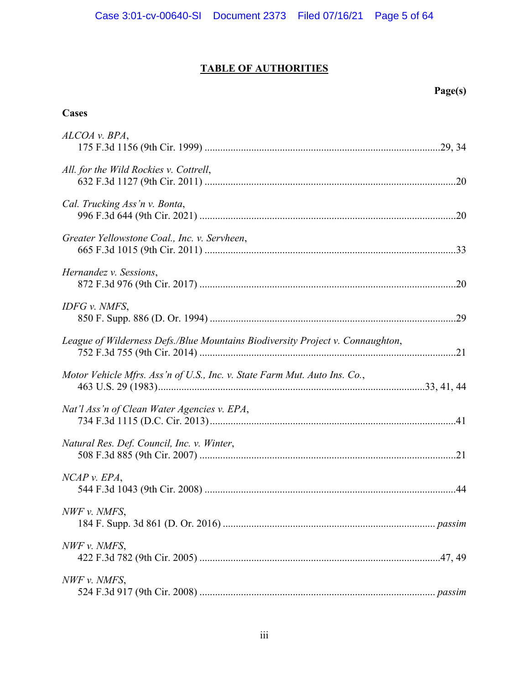# **TABLE OF AUTHORITIES**

# **Page(s)**

# **Cases**

| ALCOA v. BPA,                                                                  |  |
|--------------------------------------------------------------------------------|--|
| All. for the Wild Rockies v. Cottrell,                                         |  |
| Cal. Trucking Ass'n v. Bonta,                                                  |  |
| Greater Yellowstone Coal., Inc. v. Servheen,                                   |  |
| Hernandez v. Sessions,                                                         |  |
| IDFG v. NMFS,                                                                  |  |
| League of Wilderness Defs./Blue Mountains Biodiversity Project v. Connaughton, |  |
| Motor Vehicle Mfrs. Ass'n of U.S., Inc. v. State Farm Mut. Auto Ins. Co.,      |  |
| Nat'l Ass'n of Clean Water Agencies v. EPA,                                    |  |
| Natural Res. Def. Council, Inc. v. Winter,                                     |  |
| NCAP v. EPA,                                                                   |  |
| NWF v. NMFS,                                                                   |  |
| NWF v. NMFS,                                                                   |  |
| NWF v. NMFS,                                                                   |  |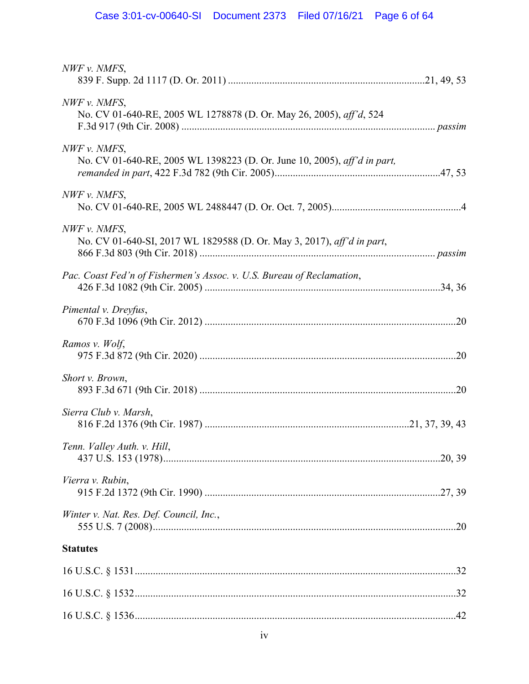| NWF v. NMFS,                                                                             |  |
|------------------------------------------------------------------------------------------|--|
| NWF v. NMFS,<br>No. CV 01-640-RE, 2005 WL 1278878 (D. Or. May 26, 2005), aff'd, 524      |  |
| NWF v. NMFS,<br>No. CV 01-640-RE, 2005 WL 1398223 (D. Or. June 10, 2005), aff'd in part, |  |
| NWF v. NMFS,                                                                             |  |
| NWF v. NMFS,<br>No. CV 01-640-SI, 2017 WL 1829588 (D. Or. May 3, 2017), aff'd in part,   |  |
| Pac. Coast Fed'n of Fishermen's Assoc. v. U.S. Bureau of Reclamation,                    |  |
| Pimental v. Dreyfus,                                                                     |  |
| Ramos v. Wolf,                                                                           |  |
| Short v. Brown,                                                                          |  |
| Sierra Club v. Marsh,                                                                    |  |
| Tenn. Valley Auth. v. Hill,                                                              |  |
| Vierra v. Rubin,                                                                         |  |
| Winter v. Nat. Res. Def. Council, Inc.,                                                  |  |
| <b>Statutes</b>                                                                          |  |
|                                                                                          |  |
|                                                                                          |  |
|                                                                                          |  |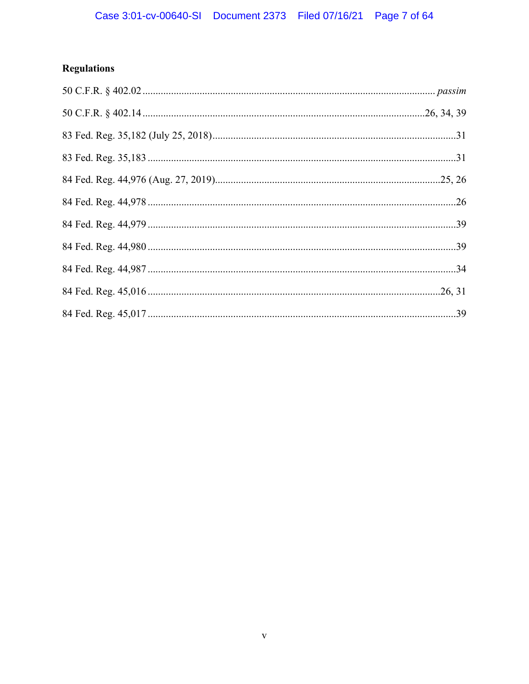# Regulations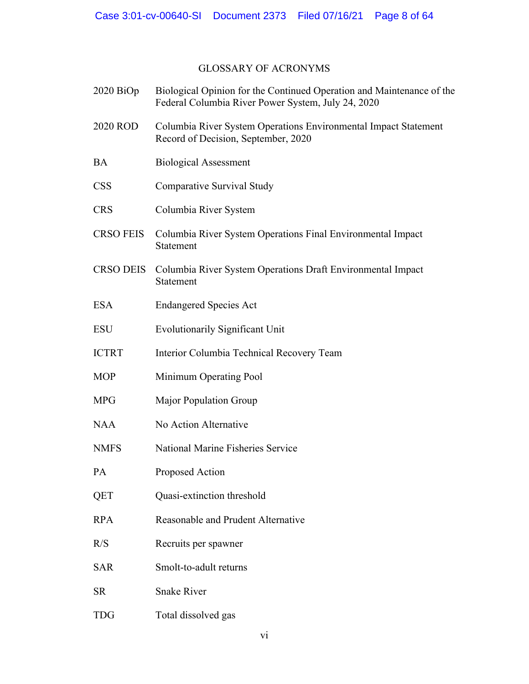# GLOSSARY OF ACRONYMS

| $2020$ BiOp      | Biological Opinion for the Continued Operation and Maintenance of the<br>Federal Columbia River Power System, July 24, 2020 |
|------------------|-----------------------------------------------------------------------------------------------------------------------------|
| 2020 ROD         | Columbia River System Operations Environmental Impact Statement<br>Record of Decision, September, 2020                      |
| <b>BA</b>        | <b>Biological Assessment</b>                                                                                                |
| <b>CSS</b>       | Comparative Survival Study                                                                                                  |
| <b>CRS</b>       | Columbia River System                                                                                                       |
| <b>CRSO FEIS</b> | Columbia River System Operations Final Environmental Impact<br>Statement                                                    |
| <b>CRSO DEIS</b> | Columbia River System Operations Draft Environmental Impact<br>Statement                                                    |
| <b>ESA</b>       | <b>Endangered Species Act</b>                                                                                               |
| <b>ESU</b>       | <b>Evolutionarily Significant Unit</b>                                                                                      |
| <b>ICTRT</b>     | Interior Columbia Technical Recovery Team                                                                                   |
| <b>MOP</b>       | Minimum Operating Pool                                                                                                      |
| <b>MPG</b>       | Major Population Group                                                                                                      |
| <b>NAA</b>       | No Action Alternative                                                                                                       |
| <b>NMFS</b>      | National Marine Fisheries Service                                                                                           |
| PA               | Proposed Action                                                                                                             |
| QET              | Quasi-extinction threshold                                                                                                  |
| <b>RPA</b>       | Reasonable and Prudent Alternative                                                                                          |
| R/S              | Recruits per spawner                                                                                                        |
| <b>SAR</b>       | Smolt-to-adult returns                                                                                                      |
| <b>SR</b>        | <b>Snake River</b>                                                                                                          |
| <b>TDG</b>       | Total dissolved gas                                                                                                         |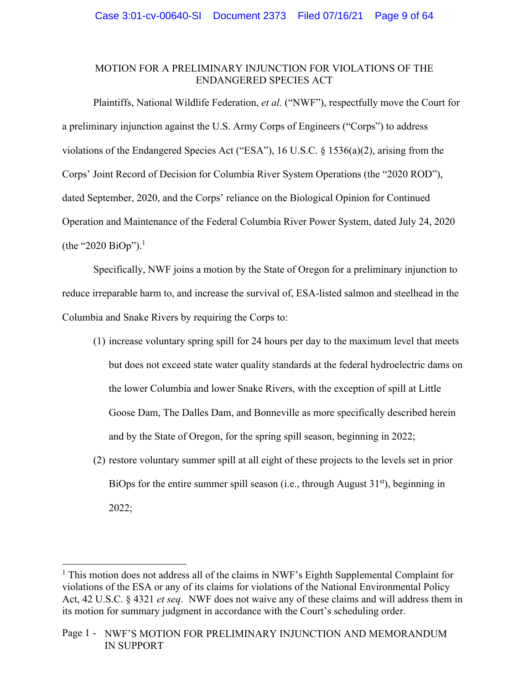# MOTION FOR A PRELIMINARY INJUNCTION FOR VIOLATIONS OF THE ENDANGERED SPECIES ACT

Plaintiffs, National Wildlife Federation, *et al.* ("NWF"), respectfully move the Court for a preliminary injunction against the U.S. Army Corps of Engineers ("Corps") to address violations of the Endangered Species Act ("ESA"), 16 U.S.C. § 1536(a)(2), arising from the Corps' Joint Record of Decision for Columbia River System Operations (the "2020 ROD"), dated September, 2020, and the Corps' reliance on the Biological Opinion for Continued Operation and Maintenance of the Federal Columbia River Power System, dated July 24, 2020 (the "2020 BiOp").<sup>1</sup>

Specifically, NWF joins a motion by the State of Oregon for a preliminary injunction to reduce irreparable harm to, and increase the survival of, ESA-listed salmon and steelhead in the Columbia and Snake Rivers by requiring the Corps to:

- (1) increase voluntary spring spill for 24 hours per day to the maximum level that meets but does not exceed state water quality standards at the federal hydroelectric dams on the lower Columbia and lower Snake Rivers, with the exception of spill at Little Goose Dam, The Dalles Dam, and Bonneville as more specifically described herein and by the State of Oregon, for the spring spill season, beginning in 2022;
- (2) restore voluntary summer spill at all eight of these projects to the levels set in prior BiOps for the entire summer spill season (i.e., through August  $31<sup>st</sup>$ ), beginning in 2022;

<sup>&</sup>lt;sup>1</sup> This motion does not address all of the claims in NWF's Eighth Supplemental Complaint for violations of the ESA or any of its claims for violations of the National Environmental Policy Act, 42 U.S.C. § 4321 *et seq*. NWF does not waive any of these claims and will address them in its motion for summary judgment in accordance with the Court's scheduling order.

Page 1 - NWF'S MOTION FOR PRELIMINARY INJUNCTION AND MEMORANDUM IN SUPPORT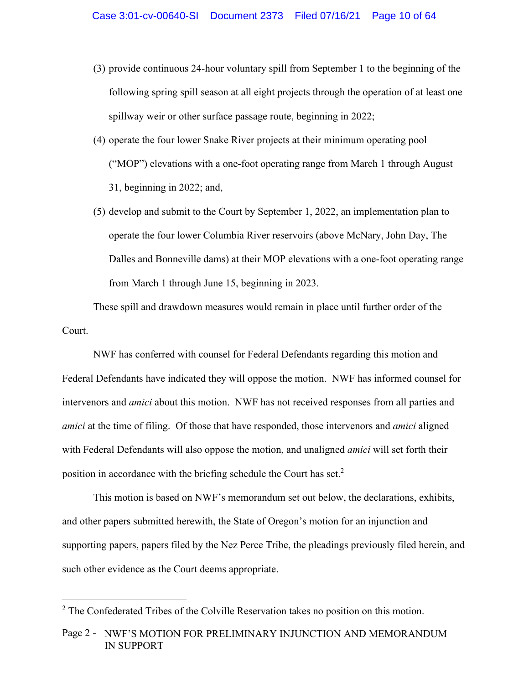- (3) provide continuous 24-hour voluntary spill from September 1 to the beginning of the following spring spill season at all eight projects through the operation of at least one spillway weir or other surface passage route, beginning in 2022;
- (4) operate the four lower Snake River projects at their minimum operating pool ("MOP") elevations with a one-foot operating range from March 1 through August 31, beginning in 2022; and,
- (5) develop and submit to the Court by September 1, 2022, an implementation plan to operate the four lower Columbia River reservoirs (above McNary, John Day, The Dalles and Bonneville dams) at their MOP elevations with a one-foot operating range from March 1 through June 15, beginning in 2023.

These spill and drawdown measures would remain in place until further order of the Court.

NWF has conferred with counsel for Federal Defendants regarding this motion and Federal Defendants have indicated they will oppose the motion. NWF has informed counsel for intervenors and *amici* about this motion. NWF has not received responses from all parties and *amici* at the time of filing. Of those that have responded, those intervenors and *amici* aligned with Federal Defendants will also oppose the motion, and unaligned *amici* will set forth their position in accordance with the briefing schedule the Court has set. $2$ 

This motion is based on NWF's memorandum set out below, the declarations, exhibits, and other papers submitted herewith, the State of Oregon's motion for an injunction and supporting papers, papers filed by the Nez Perce Tribe, the pleadings previously filed herein, and such other evidence as the Court deems appropriate.

 $2$  The Confederated Tribes of the Colville Reservation takes no position on this motion.

Page 2 - NWF'S MOTION FOR PRELIMINARY INJUNCTION AND MEMORANDUM IN SUPPORT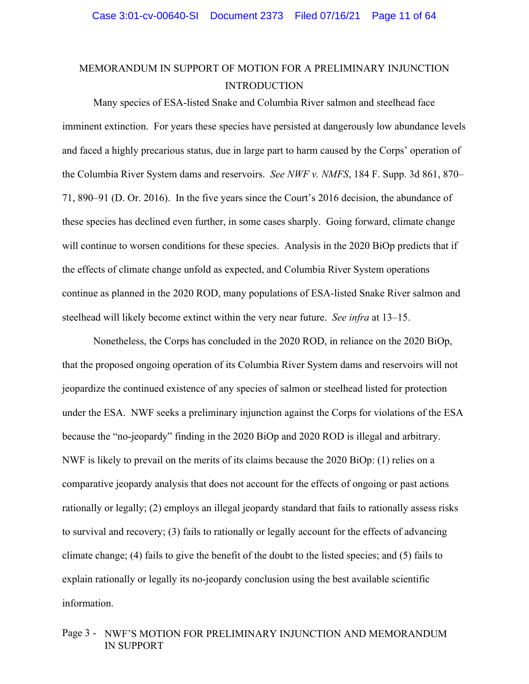# MEMORANDUM IN SUPPORT OF MOTION FOR A PRELIMINARY INJUNCTION INTRODUCTION

Many species of ESA-listed Snake and Columbia River salmon and steelhead face imminent extinction. For years these species have persisted at dangerously low abundance levels and faced a highly precarious status, due in large part to harm caused by the Corps' operation of the Columbia River System dams and reservoirs. *See NWF v. NMFS*, 184 F. Supp. 3d 861, 870– 71, 890–91 (D. Or. 2016). In the five years since the Court's 2016 decision, the abundance of these species has declined even further, in some cases sharply. Going forward, climate change will continue to worsen conditions for these species. Analysis in the 2020 BiOp predicts that if the effects of climate change unfold as expected, and Columbia River System operations continue as planned in the 2020 ROD, many populations of ESA-listed Snake River salmon and steelhead will likely become extinct within the very near future. *See infra* at 13–15.

Nonetheless, the Corps has concluded in the 2020 ROD, in reliance on the 2020 BiOp, that the proposed ongoing operation of its Columbia River System dams and reservoirs will not jeopardize the continued existence of any species of salmon or steelhead listed for protection under the ESA. NWF seeks a preliminary injunction against the Corps for violations of the ESA because the "no-jeopardy" finding in the 2020 BiOp and 2020 ROD is illegal and arbitrary. NWF is likely to prevail on the merits of its claims because the 2020 BiOp: (1) relies on a comparative jeopardy analysis that does not account for the effects of ongoing or past actions rationally or legally; (2) employs an illegal jeopardy standard that fails to rationally assess risks to survival and recovery; (3) fails to rationally or legally account for the effects of advancing climate change; (4) fails to give the benefit of the doubt to the listed species; and (5) fails to explain rationally or legally its no-jeopardy conclusion using the best available scientific information.

# Page 3 - NWF'S MOTION FOR PRELIMINARY INJUNCTION AND MEMORANDUM IN SUPPORT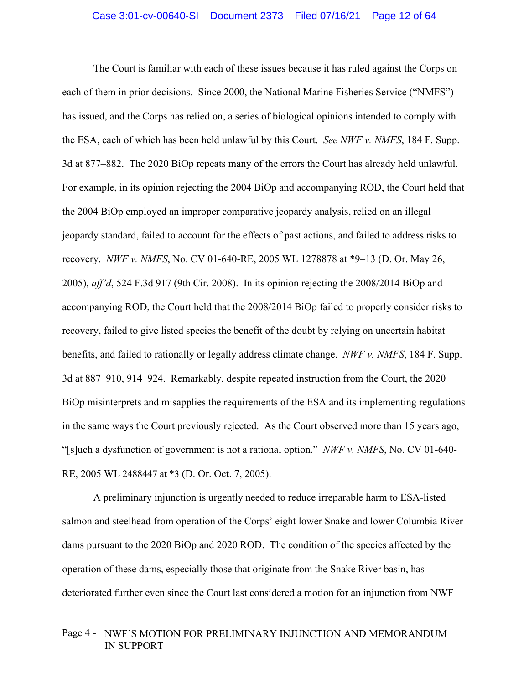The Court is familiar with each of these issues because it has ruled against the Corps on each of them in prior decisions. Since 2000, the National Marine Fisheries Service ("NMFS") has issued, and the Corps has relied on, a series of biological opinions intended to comply with the ESA, each of which has been held unlawful by this Court. *See NWF v. NMFS*, 184 F. Supp. 3d at 877–882. The 2020 BiOp repeats many of the errors the Court has already held unlawful. For example, in its opinion rejecting the 2004 BiOp and accompanying ROD, the Court held that the 2004 BiOp employed an improper comparative jeopardy analysis, relied on an illegal jeopardy standard, failed to account for the effects of past actions, and failed to address risks to recovery. *NWF v. NMFS*, No. CV 01-640-RE, 2005 WL 1278878 at \*9–13 (D. Or. May 26, 2005), *aff'd*, 524 F.3d 917 (9th Cir. 2008). In its opinion rejecting the 2008/2014 BiOp and accompanying ROD, the Court held that the 2008/2014 BiOp failed to properly consider risks to recovery, failed to give listed species the benefit of the doubt by relying on uncertain habitat benefits, and failed to rationally or legally address climate change. *NWF v. NMFS*, 184 F. Supp. 3d at 887–910, 914–924. Remarkably, despite repeated instruction from the Court, the 2020 BiOp misinterprets and misapplies the requirements of the ESA and its implementing regulations in the same ways the Court previously rejected. As the Court observed more than 15 years ago, "[s]uch a dysfunction of government is not a rational option." *NWF v. NMFS*, No. CV 01-640- RE, 2005 WL 2488447 at \*3 (D. Or. Oct. 7, 2005).

A preliminary injunction is urgently needed to reduce irreparable harm to ESA-listed salmon and steelhead from operation of the Corps' eight lower Snake and lower Columbia River dams pursuant to the 2020 BiOp and 2020 ROD. The condition of the species affected by the operation of these dams, especially those that originate from the Snake River basin, has deteriorated further even since the Court last considered a motion for an injunction from NWF

# Page 4 - NWF'S MOTION FOR PRELIMINARY INJUNCTION AND MEMORANDUM IN SUPPORT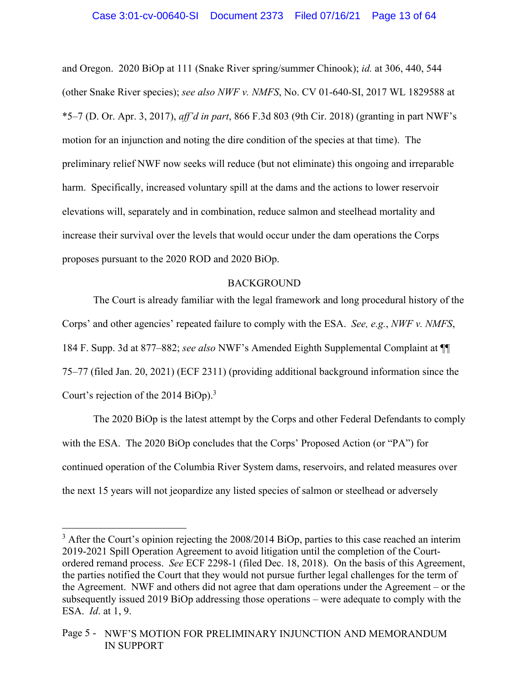and Oregon. 2020 BiOp at 111 (Snake River spring/summer Chinook); *id.* at 306, 440, 544 (other Snake River species); *see also NWF v. NMFS*, No. CV 01-640-SI, 2017 WL 1829588 at \*5–7 (D. Or. Apr. 3, 2017), *aff'd in part*, 866 F.3d 803 (9th Cir. 2018) (granting in part NWF's motion for an injunction and noting the dire condition of the species at that time). The preliminary relief NWF now seeks will reduce (but not eliminate) this ongoing and irreparable harm. Specifically, increased voluntary spill at the dams and the actions to lower reservoir elevations will, separately and in combination, reduce salmon and steelhead mortality and increase their survival over the levels that would occur under the dam operations the Corps proposes pursuant to the 2020 ROD and 2020 BiOp.

### **BACKGROUND**

The Court is already familiar with the legal framework and long procedural history of the Corps' and other agencies' repeated failure to comply with the ESA. *See, e.g.*, *NWF v. NMFS*, 184 F. Supp. 3d at 877–882; *see also* NWF's Amended Eighth Supplemental Complaint at ¶¶ 75–77 (filed Jan. 20, 2021) (ECF 2311) (providing additional background information since the Court's rejection of the 2014 BiOp).<sup>3</sup>

The 2020 BiOp is the latest attempt by the Corps and other Federal Defendants to comply with the ESA. The 2020 BiOp concludes that the Corps' Proposed Action (or "PA") for continued operation of the Columbia River System dams, reservoirs, and related measures over the next 15 years will not jeopardize any listed species of salmon or steelhead or adversely

 $3$  After the Court's opinion rejecting the 2008/2014 BiOp, parties to this case reached an interim 2019-2021 Spill Operation Agreement to avoid litigation until the completion of the Courtordered remand process. *See* ECF 2298-1 (filed Dec. 18, 2018). On the basis of this Agreement, the parties notified the Court that they would not pursue further legal challenges for the term of the Agreement. NWF and others did not agree that dam operations under the Agreement – or the subsequently issued 2019 BiOp addressing those operations – were adequate to comply with the ESA. *Id*. at 1, 9.

Page 5 - NWF'S MOTION FOR PRELIMINARY INJUNCTION AND MEMORANDUM IN SUPPORT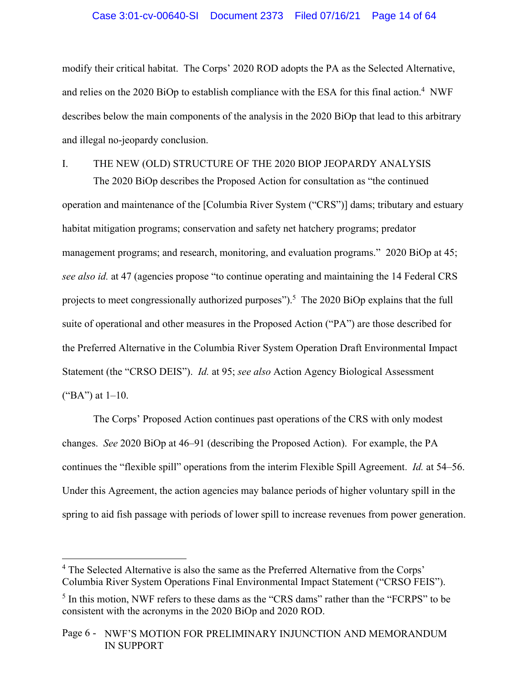### Case 3:01-cv-00640-SI Document 2373 Filed 07/16/21 Page 14 of 64

modify their critical habitat. The Corps' 2020 ROD adopts the PA as the Selected Alternative, and relies on the 2020 BiOp to establish compliance with the ESA for this final action.<sup>4</sup> NWF describes below the main components of the analysis in the 2020 BiOp that lead to this arbitrary and illegal no-jeopardy conclusion.

# I. THE NEW (OLD) STRUCTURE OF THE 2020 BIOP JEOPARDY ANALYSIS

The 2020 BiOp describes the Proposed Action for consultation as "the continued operation and maintenance of the [Columbia River System ("CRS")] dams; tributary and estuary habitat mitigation programs; conservation and safety net hatchery programs; predator management programs; and research, monitoring, and evaluation programs." 2020 BiOp at 45; *see also id.* at 47 (agencies propose "to continue operating and maintaining the 14 Federal CRS projects to meet congressionally authorized purposes").<sup>5</sup> The 2020 BiOp explains that the full suite of operational and other measures in the Proposed Action ("PA") are those described for the Preferred Alternative in the Columbia River System Operation Draft Environmental Impact Statement (the "CRSO DEIS"). *Id.* at 95; *see also* Action Agency Biological Assessment ("BA") at  $1-10$ .

The Corps' Proposed Action continues past operations of the CRS with only modest changes. *See* 2020 BiOp at 46–91 (describing the Proposed Action). For example, the PA continues the "flexible spill" operations from the interim Flexible Spill Agreement. *Id.* at 54–56. Under this Agreement, the action agencies may balance periods of higher voluntary spill in the spring to aid fish passage with periods of lower spill to increase revenues from power generation.

<sup>&</sup>lt;sup>4</sup> The Selected Alternative is also the same as the Preferred Alternative from the Corps' Columbia River System Operations Final Environmental Impact Statement ("CRSO FEIS").

<sup>&</sup>lt;sup>5</sup> In this motion, NWF refers to these dams as the "CRS dams" rather than the "FCRPS" to be consistent with the acronyms in the 2020 BiOp and 2020 ROD.

Page 6 - NWF'S MOTION FOR PRELIMINARY INJUNCTION AND MEMORANDUM IN SUPPORT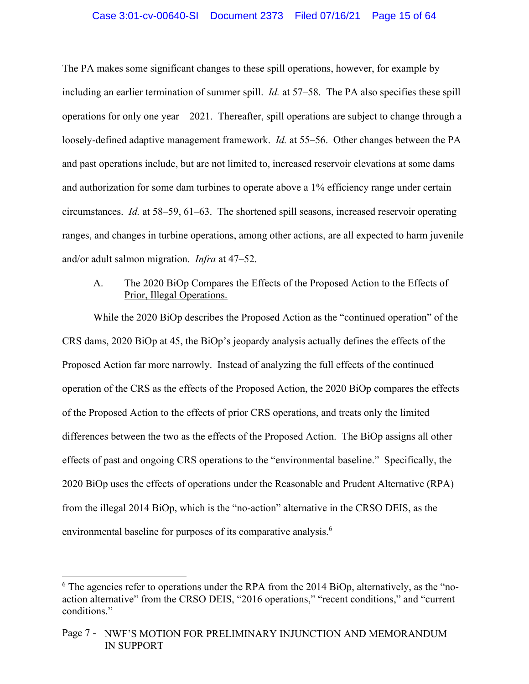The PA makes some significant changes to these spill operations, however, for example by including an earlier termination of summer spill. *Id.* at 57–58. The PA also specifies these spill operations for only one year—2021. Thereafter, spill operations are subject to change through a loosely-defined adaptive management framework. *Id.* at 55–56. Other changes between the PA and past operations include, but are not limited to, increased reservoir elevations at some dams and authorization for some dam turbines to operate above a 1% efficiency range under certain circumstances. *Id.* at 58–59, 61–63. The shortened spill seasons, increased reservoir operating ranges, and changes in turbine operations, among other actions, are all expected to harm juvenile and/or adult salmon migration. *Infra* at 47–52.

# A. The 2020 BiOp Compares the Effects of the Proposed Action to the Effects of Prior, Illegal Operations.

 While the 2020 BiOp describes the Proposed Action as the "continued operation" of the CRS dams, 2020 BiOp at 45, the BiOp's jeopardy analysis actually defines the effects of the Proposed Action far more narrowly. Instead of analyzing the full effects of the continued operation of the CRS as the effects of the Proposed Action, the 2020 BiOp compares the effects of the Proposed Action to the effects of prior CRS operations, and treats only the limited differences between the two as the effects of the Proposed Action. The BiOp assigns all other effects of past and ongoing CRS operations to the "environmental baseline." Specifically, the 2020 BiOp uses the effects of operations under the Reasonable and Prudent Alternative (RPA) from the illegal 2014 BiOp, which is the "no-action" alternative in the CRSO DEIS, as the environmental baseline for purposes of its comparative analysis.<sup>6</sup>

 $6$  The agencies refer to operations under the RPA from the 2014 BiOp, alternatively, as the "noaction alternative" from the CRSO DEIS, "2016 operations," "recent conditions," and "current conditions."

Page 7 - NWF'S MOTION FOR PRELIMINARY INJUNCTION AND MEMORANDUM IN SUPPORT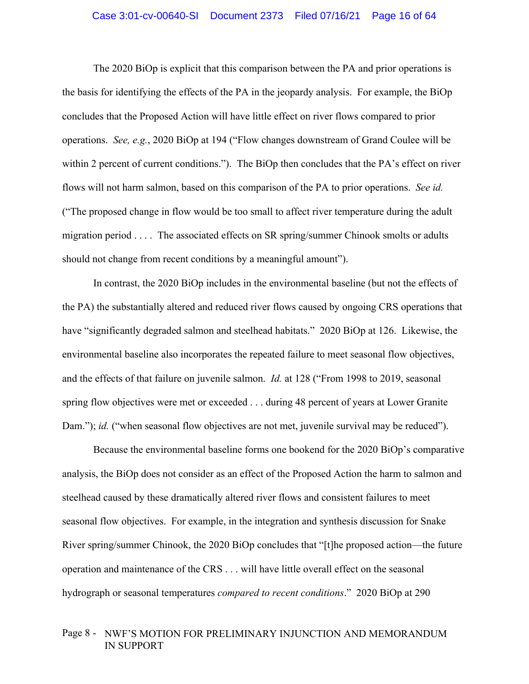#### Case 3:01-cv-00640-SI Document 2373 Filed 07/16/21 Page 16 of 64

The 2020 BiOp is explicit that this comparison between the PA and prior operations is the basis for identifying the effects of the PA in the jeopardy analysis. For example, the BiOp concludes that the Proposed Action will have little effect on river flows compared to prior operations. *See, e.g.*, 2020 BiOp at 194 ("Flow changes downstream of Grand Coulee will be within 2 percent of current conditions."). The BiOp then concludes that the PA's effect on river flows will not harm salmon, based on this comparison of the PA to prior operations. *See id.* ("The proposed change in flow would be too small to affect river temperature during the adult migration period . . . . The associated effects on SR spring/summer Chinook smolts or adults should not change from recent conditions by a meaningful amount").

In contrast, the 2020 BiOp includes in the environmental baseline (but not the effects of the PA) the substantially altered and reduced river flows caused by ongoing CRS operations that have "significantly degraded salmon and steelhead habitats." 2020 BiOp at 126. Likewise, the environmental baseline also incorporates the repeated failure to meet seasonal flow objectives, and the effects of that failure on juvenile salmon. *Id.* at 128 ("From 1998 to 2019, seasonal spring flow objectives were met or exceeded . . . during 48 percent of years at Lower Granite Dam."); *id.* ("when seasonal flow objectives are not met, juvenile survival may be reduced").

Because the environmental baseline forms one bookend for the 2020 BiOp's comparative analysis, the BiOp does not consider as an effect of the Proposed Action the harm to salmon and steelhead caused by these dramatically altered river flows and consistent failures to meet seasonal flow objectives. For example, in the integration and synthesis discussion for Snake River spring/summer Chinook, the 2020 BiOp concludes that "[t]he proposed action—the future operation and maintenance of the CRS . . . will have little overall effect on the seasonal hydrograph or seasonal temperatures *compared to recent conditions*." 2020 BiOp at 290

# Page 8 - NWF'S MOTION FOR PRELIMINARY INJUNCTION AND MEMORANDUM IN SUPPORT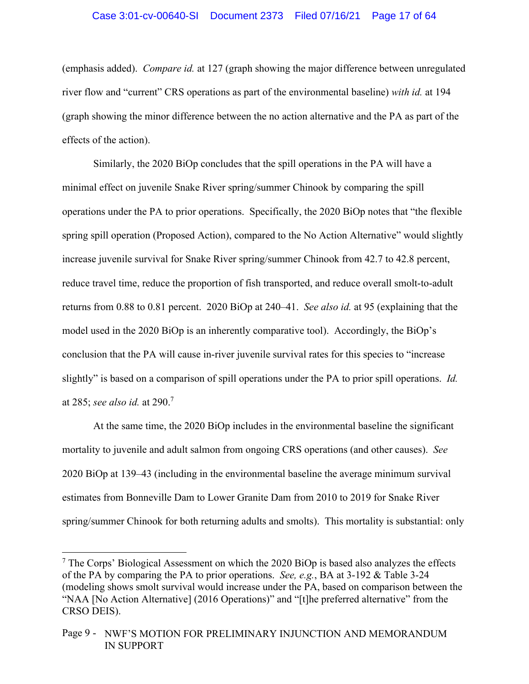### Case 3:01-cv-00640-SI Document 2373 Filed 07/16/21 Page 17 of 64

(emphasis added). *Compare id.* at 127 (graph showing the major difference between unregulated river flow and "current" CRS operations as part of the environmental baseline) *with id.* at 194 (graph showing the minor difference between the no action alternative and the PA as part of the effects of the action).

Similarly, the 2020 BiOp concludes that the spill operations in the PA will have a minimal effect on juvenile Snake River spring/summer Chinook by comparing the spill operations under the PA to prior operations. Specifically, the 2020 BiOp notes that "the flexible spring spill operation (Proposed Action), compared to the No Action Alternative" would slightly increase juvenile survival for Snake River spring/summer Chinook from 42.7 to 42.8 percent, reduce travel time, reduce the proportion of fish transported, and reduce overall smolt-to-adult returns from 0.88 to 0.81 percent. 2020 BiOp at 240–41. *See also id.* at 95 (explaining that the model used in the 2020 BiOp is an inherently comparative tool). Accordingly, the BiOp's conclusion that the PA will cause in-river juvenile survival rates for this species to "increase slightly" is based on a comparison of spill operations under the PA to prior spill operations. *Id.*  at 285; *see also id.* at 290.7

At the same time, the 2020 BiOp includes in the environmental baseline the significant mortality to juvenile and adult salmon from ongoing CRS operations (and other causes). *See*  2020 BiOp at 139–43 (including in the environmental baseline the average minimum survival estimates from Bonneville Dam to Lower Granite Dam from 2010 to 2019 for Snake River spring/summer Chinook for both returning adults and smolts). This mortality is substantial: only

 $7$  The Corps' Biological Assessment on which the 2020 BiOp is based also analyzes the effects of the PA by comparing the PA to prior operations. *See, e.g.*, BA at 3-192 & Table 3-24 (modeling shows smolt survival would increase under the PA, based on comparison between the "NAA [No Action Alternative] (2016 Operations)" and "[t]he preferred alternative" from the CRSO DEIS).

Page 9 - NWF'S MOTION FOR PRELIMINARY INJUNCTION AND MEMORANDUM IN SUPPORT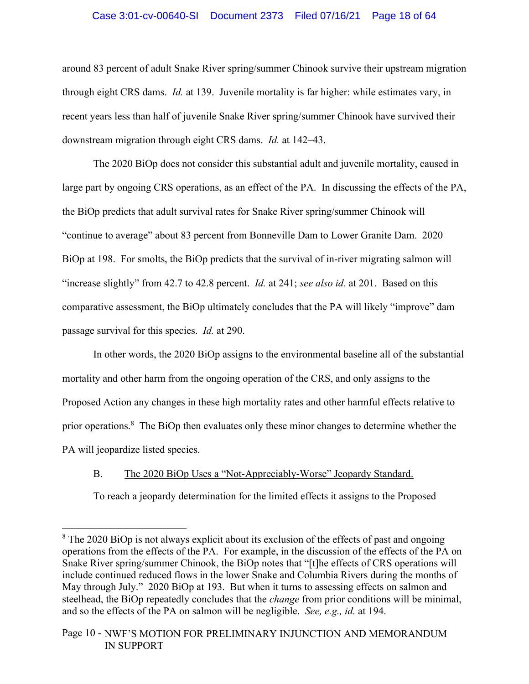# Case 3:01-cv-00640-SI Document 2373 Filed 07/16/21 Page 18 of 64

around 83 percent of adult Snake River spring/summer Chinook survive their upstream migration through eight CRS dams. *Id.* at 139. Juvenile mortality is far higher: while estimates vary, in recent years less than half of juvenile Snake River spring/summer Chinook have survived their downstream migration through eight CRS dams. *Id.* at 142–43.

The 2020 BiOp does not consider this substantial adult and juvenile mortality, caused in large part by ongoing CRS operations, as an effect of the PA. In discussing the effects of the PA, the BiOp predicts that adult survival rates for Snake River spring/summer Chinook will "continue to average" about 83 percent from Bonneville Dam to Lower Granite Dam. 2020 BiOp at 198. For smolts, the BiOp predicts that the survival of in-river migrating salmon will "increase slightly" from 42.7 to 42.8 percent. *Id.* at 241; *see also id.* at 201. Based on this comparative assessment, the BiOp ultimately concludes that the PA will likely "improve" dam passage survival for this species. *Id.* at 290.

In other words, the 2020 BiOp assigns to the environmental baseline all of the substantial mortality and other harm from the ongoing operation of the CRS, and only assigns to the Proposed Action any changes in these high mortality rates and other harmful effects relative to prior operations.<sup>8</sup> The BiOp then evaluates only these minor changes to determine whether the PA will jeopardize listed species.

# B. The 2020 BiOp Uses a "Not-Appreciably-Worse" Jeopardy Standard.

To reach a jeopardy determination for the limited effects it assigns to the Proposed

<sup>&</sup>lt;sup>8</sup> The 2020 BiOp is not always explicit about its exclusion of the effects of past and ongoing operations from the effects of the PA. For example, in the discussion of the effects of the PA on Snake River spring/summer Chinook, the BiOp notes that "[t]he effects of CRS operations will include continued reduced flows in the lower Snake and Columbia Rivers during the months of May through July." 2020 BiOp at 193. But when it turns to assessing effects on salmon and steelhead, the BiOp repeatedly concludes that the *change* from prior conditions will be minimal, and so the effects of the PA on salmon will be negligible. *See, e.g., id.* at 194.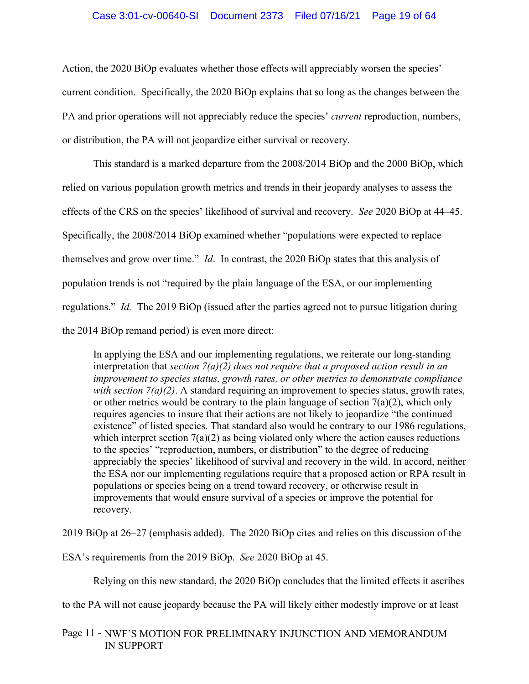### Case 3:01-cv-00640-SI Document 2373 Filed 07/16/21 Page 19 of 64

Action, the 2020 BiOp evaluates whether those effects will appreciably worsen the species' current condition. Specifically, the 2020 BiOp explains that so long as the changes between the PA and prior operations will not appreciably reduce the species' *current* reproduction, numbers, or distribution, the PA will not jeopardize either survival or recovery.

This standard is a marked departure from the 2008/2014 BiOp and the 2000 BiOp, which relied on various population growth metrics and trends in their jeopardy analyses to assess the effects of the CRS on the species' likelihood of survival and recovery. *See* 2020 BiOp at 44–45. Specifically, the 2008/2014 BiOp examined whether "populations were expected to replace themselves and grow over time." *Id*. In contrast, the 2020 BiOp states that this analysis of population trends is not "required by the plain language of the ESA, or our implementing regulations." *Id.* The 2019 BiOp (issued after the parties agreed not to pursue litigation during the 2014 BiOp remand period) is even more direct:

In applying the ESA and our implementing regulations, we reiterate our long-standing interpretation that *section 7(a)(2) does not require that a proposed action result in an improvement to species status, growth rates, or other metrics to demonstrate compliance with section 7(a)(2)*. A standard requiring an improvement to species status, growth rates, or other metrics would be contrary to the plain language of section  $7(a)(2)$ , which only requires agencies to insure that their actions are not likely to jeopardize "the continued existence" of listed species. That standard also would be contrary to our 1986 regulations, which interpret section 7(a)(2) as being violated only where the action causes reductions to the species' "reproduction, numbers, or distribution" to the degree of reducing appreciably the species' likelihood of survival and recovery in the wild. In accord, neither the ESA nor our implementing regulations require that a proposed action or RPA result in populations or species being on a trend toward recovery, or otherwise result in improvements that would ensure survival of a species or improve the potential for recovery.

2019 BiOp at 26–27 (emphasis added). The 2020 BiOp cites and relies on this discussion of the

ESA's requirements from the 2019 BiOp. *See* 2020 BiOp at 45.

Relying on this new standard, the 2020 BiOp concludes that the limited effects it ascribes

to the PA will not cause jeopardy because the PA will likely either modestly improve or at least

Page 11 - NWF'S MOTION FOR PRELIMINARY INJUNCTION AND MEMORANDUM IN SUPPORT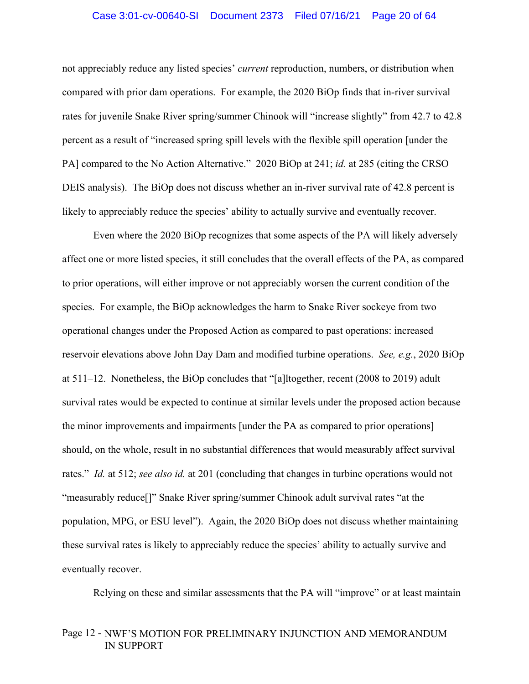### Case 3:01-cv-00640-SI Document 2373 Filed 07/16/21 Page 20 of 64

not appreciably reduce any listed species' *current* reproduction, numbers, or distribution when compared with prior dam operations. For example, the 2020 BiOp finds that in-river survival rates for juvenile Snake River spring/summer Chinook will "increase slightly" from 42.7 to 42.8 percent as a result of "increased spring spill levels with the flexible spill operation [under the PA] compared to the No Action Alternative." 2020 BiOp at 241; *id.* at 285 (citing the CRSO DEIS analysis). The BiOp does not discuss whether an in-river survival rate of 42.8 percent is likely to appreciably reduce the species' ability to actually survive and eventually recover.

Even where the 2020 BiOp recognizes that some aspects of the PA will likely adversely affect one or more listed species, it still concludes that the overall effects of the PA, as compared to prior operations, will either improve or not appreciably worsen the current condition of the species. For example, the BiOp acknowledges the harm to Snake River sockeye from two operational changes under the Proposed Action as compared to past operations: increased reservoir elevations above John Day Dam and modified turbine operations. *See, e.g.*, 2020 BiOp at 511–12. Nonetheless, the BiOp concludes that "[a]ltogether, recent (2008 to 2019) adult survival rates would be expected to continue at similar levels under the proposed action because the minor improvements and impairments [under the PA as compared to prior operations] should, on the whole, result in no substantial differences that would measurably affect survival rates." *Id.* at 512; *see also id.* at 201 (concluding that changes in turbine operations would not "measurably reduce[]" Snake River spring/summer Chinook adult survival rates "at the population, MPG, or ESU level"). Again, the 2020 BiOp does not discuss whether maintaining these survival rates is likely to appreciably reduce the species' ability to actually survive and eventually recover.

Relying on these and similar assessments that the PA will "improve" or at least maintain

# Page 12 - NWF'S MOTION FOR PRELIMINARY INJUNCTION AND MEMORANDUM IN SUPPORT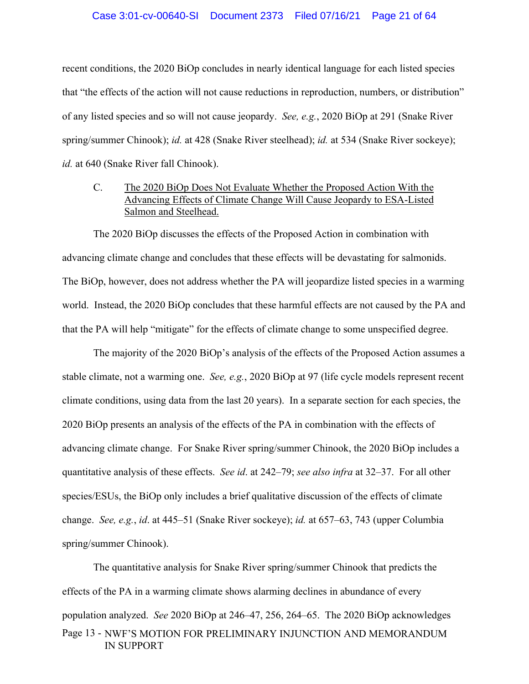### Case 3:01-cv-00640-SI Document 2373 Filed 07/16/21 Page 21 of 64

recent conditions, the 2020 BiOp concludes in nearly identical language for each listed species that "the effects of the action will not cause reductions in reproduction, numbers, or distribution" of any listed species and so will not cause jeopardy. *See, e.g.*, 2020 BiOp at 291 (Snake River spring/summer Chinook); *id.* at 428 (Snake River steelhead); *id.* at 534 (Snake River sockeye); *id.* at 640 (Snake River fall Chinook).

# C. The 2020 BiOp Does Not Evaluate Whether the Proposed Action With the Advancing Effects of Climate Change Will Cause Jeopardy to ESA-Listed Salmon and Steelhead.

The 2020 BiOp discusses the effects of the Proposed Action in combination with advancing climate change and concludes that these effects will be devastating for salmonids. The BiOp, however, does not address whether the PA will jeopardize listed species in a warming world. Instead, the 2020 BiOp concludes that these harmful effects are not caused by the PA and that the PA will help "mitigate" for the effects of climate change to some unspecified degree.

The majority of the 2020 BiOp's analysis of the effects of the Proposed Action assumes a stable climate, not a warming one. *See, e.g.*, 2020 BiOp at 97 (life cycle models represent recent climate conditions, using data from the last 20 years). In a separate section for each species, the 2020 BiOp presents an analysis of the effects of the PA in combination with the effects of advancing climate change. For Snake River spring/summer Chinook, the 2020 BiOp includes a quantitative analysis of these effects. *See id*. at 242–79; *see also infra* at 32–37. For all other species/ESUs, the BiOp only includes a brief qualitative discussion of the effects of climate change. *See, e.g.*, *id*. at 445–51 (Snake River sockeye); *id.* at 657–63, 743 (upper Columbia spring/summer Chinook).

Page 13 - NWF'S MOTION FOR PRELIMINARY INJUNCTION AND MEMORANDUM IN SUPPORT The quantitative analysis for Snake River spring/summer Chinook that predicts the effects of the PA in a warming climate shows alarming declines in abundance of every population analyzed. *See* 2020 BiOp at 246–47, 256, 264–65. The 2020 BiOp acknowledges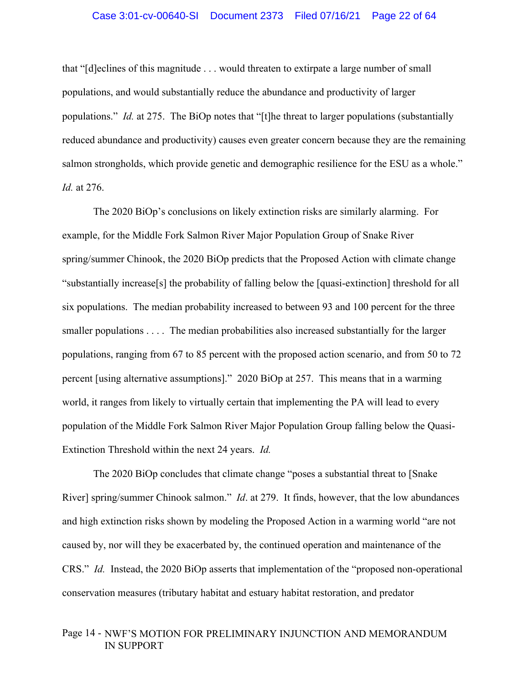#### Case 3:01-cv-00640-SI Document 2373 Filed 07/16/21 Page 22 of 64

that "[d]eclines of this magnitude . . . would threaten to extirpate a large number of small populations, and would substantially reduce the abundance and productivity of larger populations." *Id.* at 275. The BiOp notes that "[t]he threat to larger populations (substantially reduced abundance and productivity) causes even greater concern because they are the remaining salmon strongholds, which provide genetic and demographic resilience for the ESU as a whole." *Id.* at 276.

The 2020 BiOp's conclusions on likely extinction risks are similarly alarming. For example, for the Middle Fork Salmon River Major Population Group of Snake River spring/summer Chinook, the 2020 BiOp predicts that the Proposed Action with climate change "substantially increase[s] the probability of falling below the [quasi-extinction] threshold for all six populations. The median probability increased to between 93 and 100 percent for the three smaller populations . . . . The median probabilities also increased substantially for the larger populations, ranging from 67 to 85 percent with the proposed action scenario, and from 50 to 72 percent [using alternative assumptions]." 2020 BiOp at 257. This means that in a warming world, it ranges from likely to virtually certain that implementing the PA will lead to every population of the Middle Fork Salmon River Major Population Group falling below the Quasi-Extinction Threshold within the next 24 years. *Id.* 

The 2020 BiOp concludes that climate change "poses a substantial threat to [Snake River] spring/summer Chinook salmon." *Id*. at 279. It finds, however, that the low abundances and high extinction risks shown by modeling the Proposed Action in a warming world "are not caused by, nor will they be exacerbated by, the continued operation and maintenance of the CRS." *Id.* Instead, the 2020 BiOp asserts that implementation of the "proposed non-operational conservation measures (tributary habitat and estuary habitat restoration, and predator

# Page 14 - NWF'S MOTION FOR PRELIMINARY INJUNCTION AND MEMORANDUM IN SUPPORT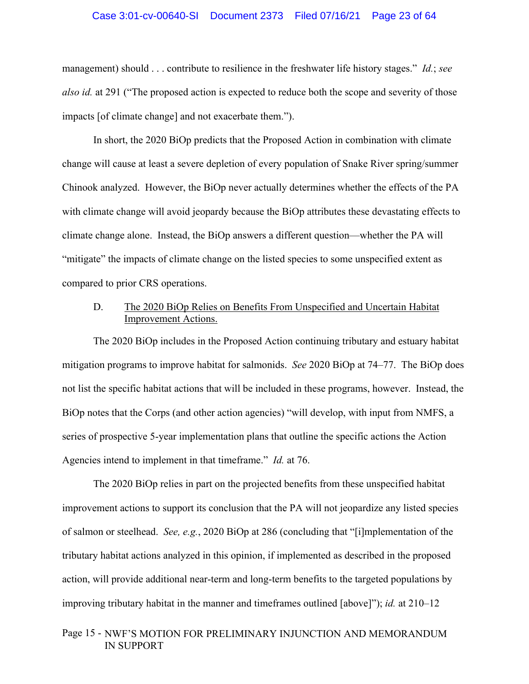#### Case 3:01-cv-00640-SI Document 2373 Filed 07/16/21 Page 23 of 64

management) should . . . contribute to resilience in the freshwater life history stages." *Id.*; *see also id.* at 291 ("The proposed action is expected to reduce both the scope and severity of those impacts [of climate change] and not exacerbate them.").

In short, the 2020 BiOp predicts that the Proposed Action in combination with climate change will cause at least a severe depletion of every population of Snake River spring/summer Chinook analyzed. However, the BiOp never actually determines whether the effects of the PA with climate change will avoid jeopardy because the BiOp attributes these devastating effects to climate change alone. Instead, the BiOp answers a different question—whether the PA will "mitigate" the impacts of climate change on the listed species to some unspecified extent as compared to prior CRS operations.

# D. The 2020 BiOp Relies on Benefits From Unspecified and Uncertain Habitat Improvement Actions.

The 2020 BiOp includes in the Proposed Action continuing tributary and estuary habitat mitigation programs to improve habitat for salmonids. *See* 2020 BiOp at 74–77. The BiOp does not list the specific habitat actions that will be included in these programs, however. Instead, the BiOp notes that the Corps (and other action agencies) "will develop, with input from NMFS, a series of prospective 5-year implementation plans that outline the specific actions the Action Agencies intend to implement in that timeframe." *Id.* at 76.

The 2020 BiOp relies in part on the projected benefits from these unspecified habitat improvement actions to support its conclusion that the PA will not jeopardize any listed species of salmon or steelhead. *See, e.g.*, 2020 BiOp at 286 (concluding that "[i]mplementation of the tributary habitat actions analyzed in this opinion, if implemented as described in the proposed action, will provide additional near-term and long-term benefits to the targeted populations by improving tributary habitat in the manner and timeframes outlined [above]"); *id.* at 210–12

# Page 15 - NWF'S MOTION FOR PRELIMINARY INJUNCTION AND MEMORANDUM IN SUPPORT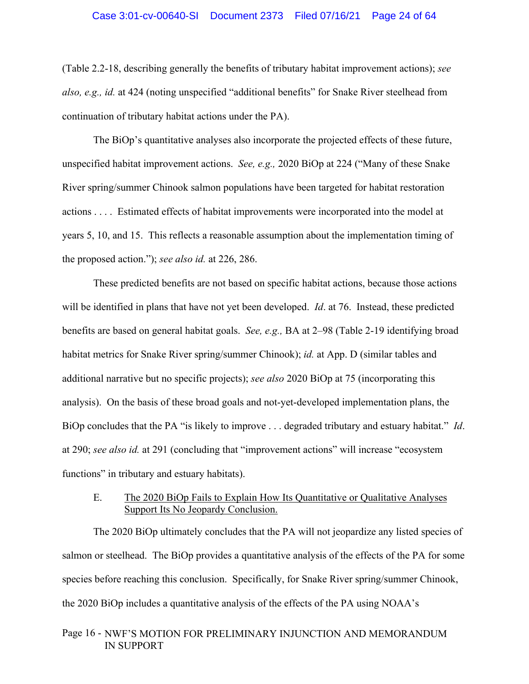(Table 2.2-18, describing generally the benefits of tributary habitat improvement actions); *see also, e.g., id.* at 424 (noting unspecified "additional benefits" for Snake River steelhead from continuation of tributary habitat actions under the PA).

The BiOp's quantitative analyses also incorporate the projected effects of these future, unspecified habitat improvement actions. *See, e.g.,* 2020 BiOp at 224 ("Many of these Snake River spring/summer Chinook salmon populations have been targeted for habitat restoration actions . . . . Estimated effects of habitat improvements were incorporated into the model at years 5, 10, and 15. This reflects a reasonable assumption about the implementation timing of the proposed action."); *see also id.* at 226, 286.

These predicted benefits are not based on specific habitat actions, because those actions will be identified in plans that have not yet been developed. *Id*. at 76. Instead, these predicted benefits are based on general habitat goals. *See, e.g.,* BA at 2–98 (Table 2-19 identifying broad habitat metrics for Snake River spring/summer Chinook); *id.* at App. D (similar tables and additional narrative but no specific projects); *see also* 2020 BiOp at 75 (incorporating this analysis). On the basis of these broad goals and not-yet-developed implementation plans, the BiOp concludes that the PA "is likely to improve . . . degraded tributary and estuary habitat." *Id*. at 290; *see also id.* at 291 (concluding that "improvement actions" will increase "ecosystem functions" in tributary and estuary habitats).

# E. The 2020 BiOp Fails to Explain How Its Quantitative or Qualitative Analyses Support Its No Jeopardy Conclusion.

The 2020 BiOp ultimately concludes that the PA will not jeopardize any listed species of salmon or steelhead. The BiOp provides a quantitative analysis of the effects of the PA for some species before reaching this conclusion. Specifically, for Snake River spring/summer Chinook, the 2020 BiOp includes a quantitative analysis of the effects of the PA using NOAA's

# Page 16 - NWF'S MOTION FOR PRELIMINARY INJUNCTION AND MEMORANDUM IN SUPPORT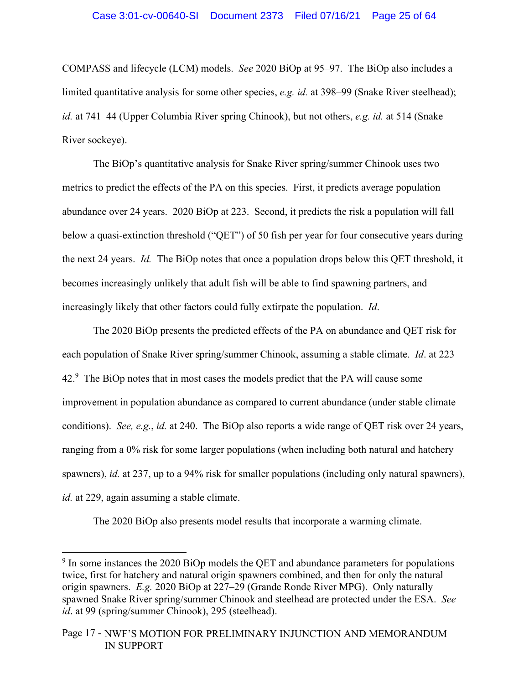COMPASS and lifecycle (LCM) models. *See* 2020 BiOp at 95–97. The BiOp also includes a limited quantitative analysis for some other species, *e.g. id.* at 398–99 (Snake River steelhead); *id.* at 741–44 (Upper Columbia River spring Chinook), but not others, *e.g. id.* at 514 (Snake River sockeye).

The BiOp's quantitative analysis for Snake River spring/summer Chinook uses two metrics to predict the effects of the PA on this species. First, it predicts average population abundance over 24 years. 2020 BiOp at 223. Second, it predicts the risk a population will fall below a quasi-extinction threshold ("QET") of 50 fish per year for four consecutive years during the next 24 years. *Id.* The BiOp notes that once a population drops below this QET threshold, it becomes increasingly unlikely that adult fish will be able to find spawning partners, and increasingly likely that other factors could fully extirpate the population. *Id*.

The 2020 BiOp presents the predicted effects of the PA on abundance and QET risk for each population of Snake River spring/summer Chinook, assuming a stable climate. *Id*. at 223–  $42<sup>9</sup>$  The BiOp notes that in most cases the models predict that the PA will cause some improvement in population abundance as compared to current abundance (under stable climate conditions). *See, e.g.*, *id.* at 240. The BiOp also reports a wide range of QET risk over 24 years, ranging from a 0% risk for some larger populations (when including both natural and hatchery spawners), *id.* at 237, up to a 94% risk for smaller populations (including only natural spawners), *id.* at 229, again assuming a stable climate.

The 2020 BiOp also presents model results that incorporate a warming climate.

 $9 \text{ In some instances the } 2020 \text{ BiOp models the QET and abundance parameters for populations}$ twice, first for hatchery and natural origin spawners combined, and then for only the natural origin spawners. *E.g.* 2020 BiOp at 227–29 (Grande Ronde River MPG). Only naturally spawned Snake River spring/summer Chinook and steelhead are protected under the ESA. *See id*. at 99 (spring/summer Chinook), 295 (steelhead).

Page 17 - NWF'S MOTION FOR PRELIMINARY INJUNCTION AND MEMORANDUM IN SUPPORT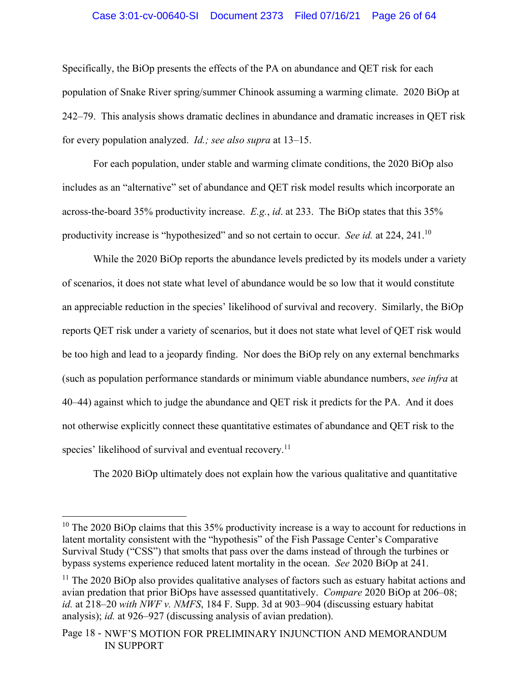### Case 3:01-cv-00640-SI Document 2373 Filed 07/16/21 Page 26 of 64

Specifically, the BiOp presents the effects of the PA on abundance and QET risk for each population of Snake River spring/summer Chinook assuming a warming climate. 2020 BiOp at 242–79. This analysis shows dramatic declines in abundance and dramatic increases in QET risk for every population analyzed. *Id.; see also supra* at 13–15.

For each population, under stable and warming climate conditions, the 2020 BiOp also includes as an "alternative" set of abundance and QET risk model results which incorporate an across-the-board 35% productivity increase. *E.g.*, *id*. at 233. The BiOp states that this 35% productivity increase is "hypothesized" and so not certain to occur. *See id.* at 224, 241.10

While the 2020 BiOp reports the abundance levels predicted by its models under a variety of scenarios, it does not state what level of abundance would be so low that it would constitute an appreciable reduction in the species' likelihood of survival and recovery. Similarly, the BiOp reports QET risk under a variety of scenarios, but it does not state what level of QET risk would be too high and lead to a jeopardy finding. Nor does the BiOp rely on any external benchmarks (such as population performance standards or minimum viable abundance numbers, *see infra* at 40–44) against which to judge the abundance and QET risk it predicts for the PA. And it does not otherwise explicitly connect these quantitative estimates of abundance and QET risk to the species' likelihood of survival and eventual recovery.<sup>11</sup>

The 2020 BiOp ultimately does not explain how the various qualitative and quantitative

 $10$  The 2020 BiOp claims that this 35% productivity increase is a way to account for reductions in latent mortality consistent with the "hypothesis" of the Fish Passage Center's Comparative Survival Study ("CSS") that smolts that pass over the dams instead of through the turbines or bypass systems experience reduced latent mortality in the ocean. *See* 2020 BiOp at 241.

 $11$  The 2020 BiOp also provides qualitative analyses of factors such as estuary habitat actions and avian predation that prior BiOps have assessed quantitatively. *Compare* 2020 BiOp at 206–08; *id.* at 218–20 *with NWF v. NMFS*, 184 F. Supp. 3d at 903–904 (discussing estuary habitat analysis); *id.* at 926–927 (discussing analysis of avian predation).

Page 18 - NWF'S MOTION FOR PRELIMINARY INJUNCTION AND MEMORANDUM IN SUPPORT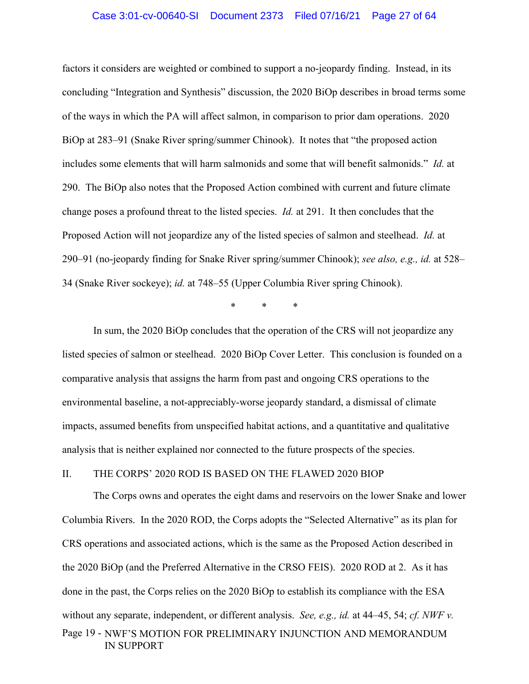#### Case 3:01-cv-00640-SI Document 2373 Filed 07/16/21 Page 27 of 64

factors it considers are weighted or combined to support a no-jeopardy finding. Instead, in its concluding "Integration and Synthesis" discussion, the 2020 BiOp describes in broad terms some of the ways in which the PA will affect salmon, in comparison to prior dam operations. 2020 BiOp at 283–91 (Snake River spring/summer Chinook). It notes that "the proposed action includes some elements that will harm salmonids and some that will benefit salmonids." *Id.* at 290. The BiOp also notes that the Proposed Action combined with current and future climate change poses a profound threat to the listed species. *Id.* at 291. It then concludes that the Proposed Action will not jeopardize any of the listed species of salmon and steelhead. *Id.* at 290–91 (no-jeopardy finding for Snake River spring/summer Chinook); *see also, e.g., id.* at 528– 34 (Snake River sockeye); *id.* at 748–55 (Upper Columbia River spring Chinook).

\* \* \*

In sum, the 2020 BiOp concludes that the operation of the CRS will not jeopardize any listed species of salmon or steelhead. 2020 BiOp Cover Letter. This conclusion is founded on a comparative analysis that assigns the harm from past and ongoing CRS operations to the environmental baseline, a not-appreciably-worse jeopardy standard, a dismissal of climate impacts, assumed benefits from unspecified habitat actions, and a quantitative and qualitative analysis that is neither explained nor connected to the future prospects of the species.

# II. THE CORPS' 2020 ROD IS BASED ON THE FLAWED 2020 BIOP

The Corps owns and operates the eight dams and reservoirs on the lower Snake and lower Columbia Rivers. In the 2020 ROD, the Corps adopts the "Selected Alternative" as its plan for CRS operations and associated actions, which is the same as the Proposed Action described in the 2020 BiOp (and the Preferred Alternative in the CRSO FEIS). 2020 ROD at 2. As it has done in the past, the Corps relies on the 2020 BiOp to establish its compliance with the ESA without any separate, independent, or different analysis. *See, e.g., id.* at 44–45, 54; *cf. NWF v.* 

# Page 19 - NWF'S MOTION FOR PRELIMINARY INJUNCTION AND MEMORANDUM IN SUPPORT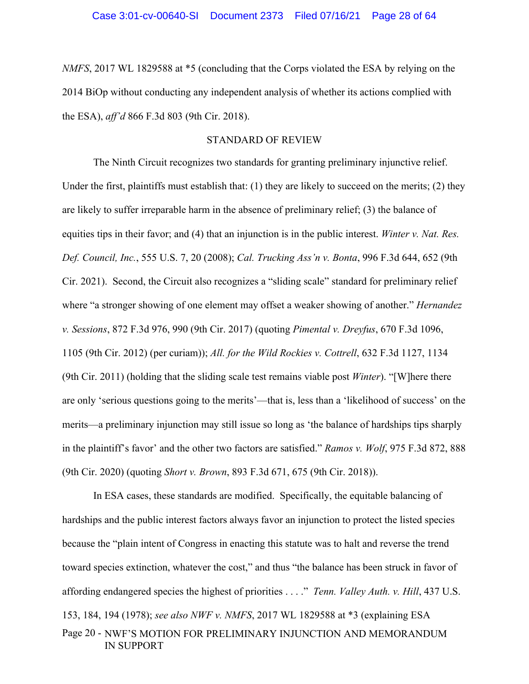*NMFS*, 2017 WL 1829588 at \*5 (concluding that the Corps violated the ESA by relying on the 2014 BiOp without conducting any independent analysis of whether its actions complied with the ESA), *aff'd* 866 F.3d 803 (9th Cir. 2018).

# STANDARD OF REVIEW

The Ninth Circuit recognizes two standards for granting preliminary injunctive relief. Under the first, plaintiffs must establish that: (1) they are likely to succeed on the merits; (2) they are likely to suffer irreparable harm in the absence of preliminary relief; (3) the balance of equities tips in their favor; and (4) that an injunction is in the public interest. *Winter v. Nat. Res. Def. Council, Inc.*, 555 U.S. 7, 20 (2008); *Cal. Trucking Ass'n v. Bonta*, 996 F.3d 644, 652 (9th Cir. 2021). Second, the Circuit also recognizes a "sliding scale" standard for preliminary relief where "a stronger showing of one element may offset a weaker showing of another." *Hernandez v. Sessions*, 872 F.3d 976, 990 (9th Cir. 2017) (quoting *Pimental v. Dreyfus*, 670 F.3d 1096, 1105 (9th Cir. 2012) (per curiam)); *All. for the Wild Rockies v. Cottrell*, 632 F.3d 1127, 1134 (9th Cir. 2011) (holding that the sliding scale test remains viable post *Winter*). "[W]here there are only 'serious questions going to the merits'—that is, less than a 'likelihood of success' on the merits—a preliminary injunction may still issue so long as 'the balance of hardships tips sharply in the plaintiff's favor' and the other two factors are satisfied." *Ramos v. Wolf*, 975 F.3d 872, 888 (9th Cir. 2020) (quoting *Short v. Brown*, 893 F.3d 671, 675 (9th Cir. 2018)).

Page 20 - NWF'S MOTION FOR PRELIMINARY INJUNCTION AND MEMORANDUM IN SUPPORT In ESA cases, these standards are modified. Specifically, the equitable balancing of hardships and the public interest factors always favor an injunction to protect the listed species because the "plain intent of Congress in enacting this statute was to halt and reverse the trend toward species extinction, whatever the cost," and thus "the balance has been struck in favor of affording endangered species the highest of priorities . . . ." *Tenn. Valley Auth. v. Hill*, 437 U.S. 153, 184, 194 (1978); *see also NWF v. NMFS*, 2017 WL 1829588 at \*3 (explaining ESA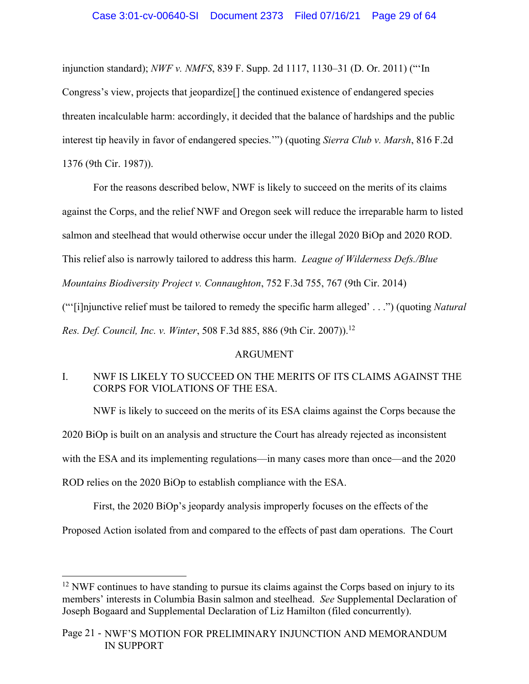injunction standard); *NWF v. NMFS*, 839 F. Supp. 2d 1117, 1130–31 (D. Or. 2011) ("'In Congress's view, projects that jeopardize[] the continued existence of endangered species threaten incalculable harm: accordingly, it decided that the balance of hardships and the public interest tip heavily in favor of endangered species.'") (quoting *Sierra Club v. Marsh*, 816 F.2d 1376 (9th Cir. 1987)).

For the reasons described below, NWF is likely to succeed on the merits of its claims against the Corps, and the relief NWF and Oregon seek will reduce the irreparable harm to listed salmon and steelhead that would otherwise occur under the illegal 2020 BiOp and 2020 ROD. This relief also is narrowly tailored to address this harm. *League of Wilderness Defs./Blue Mountains Biodiversity Project v. Connaughton*, 752 F.3d 755, 767 (9th Cir. 2014)

("'[i]njunctive relief must be tailored to remedy the specific harm alleged' . . .") (quoting *Natural Res. Def. Council, Inc. v. Winter*, 508 F.3d 885, 886 (9th Cir. 2007)).<sup>12</sup>

# ARGUMENT

# I. NWF IS LIKELY TO SUCCEED ON THE MERITS OF ITS CLAIMS AGAINST THE CORPS FOR VIOLATIONS OF THE ESA.

NWF is likely to succeed on the merits of its ESA claims against the Corps because the 2020 BiOp is built on an analysis and structure the Court has already rejected as inconsistent with the ESA and its implementing regulations—in many cases more than once—and the 2020 ROD relies on the 2020 BiOp to establish compliance with the ESA.

First, the 2020 BiOp's jeopardy analysis improperly focuses on the effects of the Proposed Action isolated from and compared to the effects of past dam operations. The Court

 $12$  NWF continues to have standing to pursue its claims against the Corps based on injury to its members' interests in Columbia Basin salmon and steelhead. *See* Supplemental Declaration of Joseph Bogaard and Supplemental Declaration of Liz Hamilton (filed concurrently).

Page 21 - NWF'S MOTION FOR PRELIMINARY INJUNCTION AND MEMORANDUM IN SUPPORT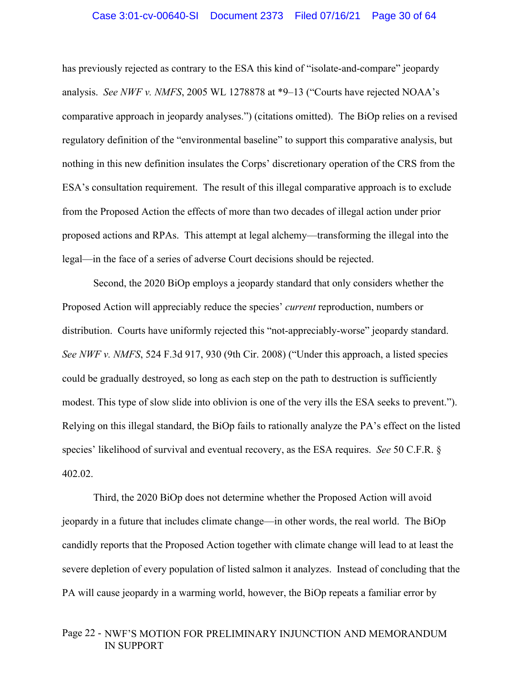has previously rejected as contrary to the ESA this kind of "isolate-and-compare" jeopardy analysis. *See NWF v. NMFS*, 2005 WL 1278878 at \*9–13 ("Courts have rejected NOAA's comparative approach in jeopardy analyses.") (citations omitted). The BiOp relies on a revised regulatory definition of the "environmental baseline" to support this comparative analysis, but nothing in this new definition insulates the Corps' discretionary operation of the CRS from the ESA's consultation requirement. The result of this illegal comparative approach is to exclude from the Proposed Action the effects of more than two decades of illegal action under prior proposed actions and RPAs. This attempt at legal alchemy—transforming the illegal into the legal—in the face of a series of adverse Court decisions should be rejected.

Second, the 2020 BiOp employs a jeopardy standard that only considers whether the Proposed Action will appreciably reduce the species' *current* reproduction, numbers or distribution. Courts have uniformly rejected this "not-appreciably-worse" jeopardy standard. *See NWF v. NMFS*, 524 F.3d 917, 930 (9th Cir. 2008) ("Under this approach, a listed species could be gradually destroyed, so long as each step on the path to destruction is sufficiently modest. This type of slow slide into oblivion is one of the very ills the ESA seeks to prevent."). Relying on this illegal standard, the BiOp fails to rationally analyze the PA's effect on the listed species' likelihood of survival and eventual recovery, as the ESA requires. *See* 50 C.F.R. § 402.02.

 Third, the 2020 BiOp does not determine whether the Proposed Action will avoid jeopardy in a future that includes climate change—in other words, the real world. The BiOp candidly reports that the Proposed Action together with climate change will lead to at least the severe depletion of every population of listed salmon it analyzes. Instead of concluding that the PA will cause jeopardy in a warming world, however, the BiOp repeats a familiar error by

# Page 22 - NWF'S MOTION FOR PRELIMINARY INJUNCTION AND MEMORANDUM IN SUPPORT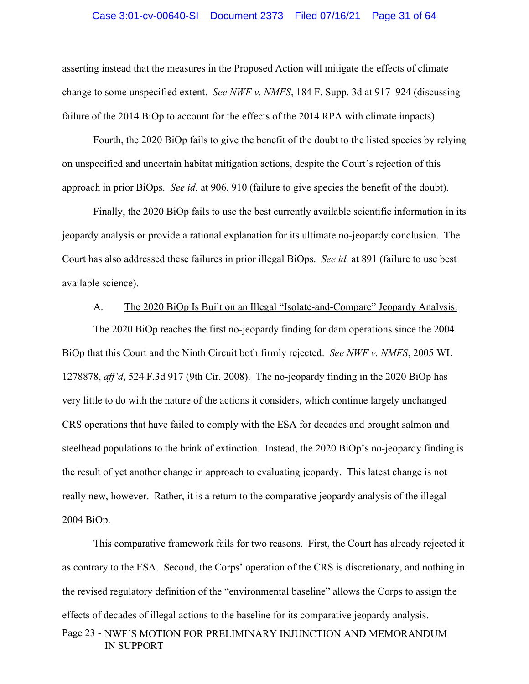### Case 3:01-cv-00640-SI Document 2373 Filed 07/16/21 Page 31 of 64

asserting instead that the measures in the Proposed Action will mitigate the effects of climate change to some unspecified extent. *See NWF v. NMFS*, 184 F. Supp. 3d at 917–924 (discussing failure of the 2014 BiOp to account for the effects of the 2014 RPA with climate impacts).

 Fourth, the 2020 BiOp fails to give the benefit of the doubt to the listed species by relying on unspecified and uncertain habitat mitigation actions, despite the Court's rejection of this approach in prior BiOps. *See id.* at 906, 910 (failure to give species the benefit of the doubt).

 Finally, the 2020 BiOp fails to use the best currently available scientific information in its jeopardy analysis or provide a rational explanation for its ultimate no-jeopardy conclusion. The Court has also addressed these failures in prior illegal BiOps. *See id.* at 891 (failure to use best available science).

# A. The 2020 BiOp Is Built on an Illegal "Isolate-and-Compare" Jeopardy Analysis.

The 2020 BiOp reaches the first no-jeopardy finding for dam operations since the 2004 BiOp that this Court and the Ninth Circuit both firmly rejected. *See NWF v. NMFS*, 2005 WL 1278878, *aff'd*, 524 F.3d 917 (9th Cir. 2008). The no-jeopardy finding in the 2020 BiOp has very little to do with the nature of the actions it considers, which continue largely unchanged CRS operations that have failed to comply with the ESA for decades and brought salmon and steelhead populations to the brink of extinction. Instead, the 2020 BiOp's no-jeopardy finding is the result of yet another change in approach to evaluating jeopardy. This latest change is not really new, however. Rather, it is a return to the comparative jeopardy analysis of the illegal 2004 BiOp.

This comparative framework fails for two reasons. First, the Court has already rejected it as contrary to the ESA. Second, the Corps' operation of the CRS is discretionary, and nothing in the revised regulatory definition of the "environmental baseline" allows the Corps to assign the effects of decades of illegal actions to the baseline for its comparative jeopardy analysis.

# Page 23 - NWF'S MOTION FOR PRELIMINARY INJUNCTION AND MEMORANDUM IN SUPPORT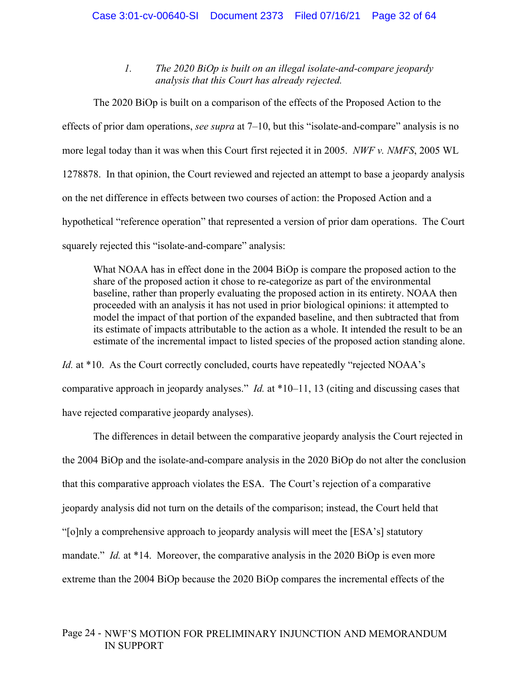*1. The 2020 BiOp is built on an illegal isolate-and-compare jeopardy analysis that this Court has already rejected.* 

The 2020 BiOp is built on a comparison of the effects of the Proposed Action to the effects of prior dam operations, *see supra* at 7–10, but this "isolate-and-compare" analysis is no more legal today than it was when this Court first rejected it in 2005. *NWF v. NMFS*, 2005 WL 1278878. In that opinion, the Court reviewed and rejected an attempt to base a jeopardy analysis on the net difference in effects between two courses of action: the Proposed Action and a hypothetical "reference operation" that represented a version of prior dam operations. The Court squarely rejected this "isolate-and-compare" analysis:

What NOAA has in effect done in the 2004 BiOp is compare the proposed action to the share of the proposed action it chose to re-categorize as part of the environmental baseline, rather than properly evaluating the proposed action in its entirety. NOAA then proceeded with an analysis it has not used in prior biological opinions: it attempted to model the impact of that portion of the expanded baseline, and then subtracted that from its estimate of impacts attributable to the action as a whole. It intended the result to be an estimate of the incremental impact to listed species of the proposed action standing alone.

*Id.* at \*10. As the Court correctly concluded, courts have repeatedly "rejected NOAA's comparative approach in jeopardy analyses." *Id.* at \*10–11, 13 (citing and discussing cases that have rejected comparative jeopardy analyses).

The differences in detail between the comparative jeopardy analysis the Court rejected in the 2004 BiOp and the isolate-and-compare analysis in the 2020 BiOp do not alter the conclusion that this comparative approach violates the ESA. The Court's rejection of a comparative jeopardy analysis did not turn on the details of the comparison; instead, the Court held that "[o]nly a comprehensive approach to jeopardy analysis will meet the [ESA's] statutory mandate." *Id.* at \*14. Moreover, the comparative analysis in the 2020 BiOp is even more extreme than the 2004 BiOp because the 2020 BiOp compares the incremental effects of the

# Page 24 - NWF'S MOTION FOR PRELIMINARY INJUNCTION AND MEMORANDUM IN SUPPORT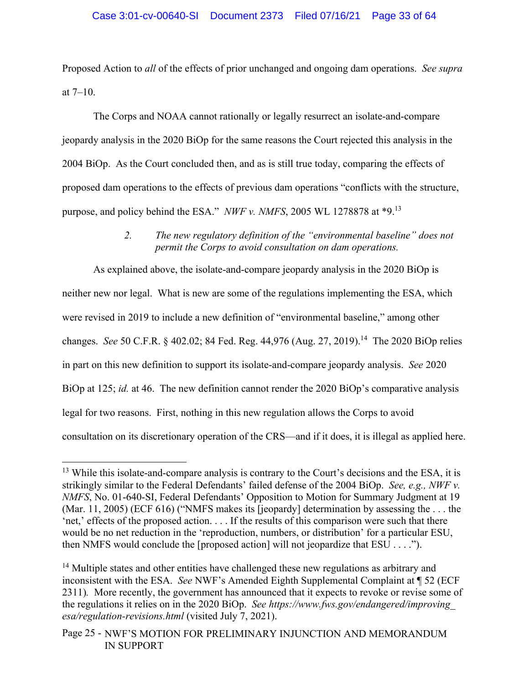Proposed Action to *all* of the effects of prior unchanged and ongoing dam operations. *See supra*  at  $7-10$ .

 The Corps and NOAA cannot rationally or legally resurrect an isolate-and-compare jeopardy analysis in the 2020 BiOp for the same reasons the Court rejected this analysis in the 2004 BiOp. As the Court concluded then, and as is still true today, comparing the effects of proposed dam operations to the effects of previous dam operations "conflicts with the structure, purpose, and policy behind the ESA." *NWF v. NMFS*, 2005 WL 1278878 at \*9.13

# *2. The new regulatory definition of the "environmental baseline" does not permit the Corps to avoid consultation on dam operations.*

As explained above, the isolate-and-compare jeopardy analysis in the 2020 BiOp is neither new nor legal. What is new are some of the regulations implementing the ESA, which were revised in 2019 to include a new definition of "environmental baseline," among other changes. *See* 50 C.F.R. § 402.02; 84 Fed. Reg. 44,976 (Aug. 27, 2019).<sup>14</sup> The 2020 BiOp relies in part on this new definition to support its isolate-and-compare jeopardy analysis. *See* 2020 BiOp at 125; *id.* at 46. The new definition cannot render the 2020 BiOp's comparative analysis legal for two reasons. First, nothing in this new regulation allows the Corps to avoid consultation on its discretionary operation of the CRS—and if it does, it is illegal as applied here.

 $13$  While this isolate-and-compare analysis is contrary to the Court's decisions and the ESA, it is strikingly similar to the Federal Defendants' failed defense of the 2004 BiOp. *See, e.g., NWF v. NMFS*, No. 01-640-SI, Federal Defendants' Opposition to Motion for Summary Judgment at 19 (Mar. 11, 2005) (ECF 616) ("NMFS makes its [jeopardy] determination by assessing the . . . the 'net,' effects of the proposed action. . . . If the results of this comparison were such that there would be no net reduction in the 'reproduction, numbers, or distribution' for a particular ESU, then NMFS would conclude the [proposed action] will not jeopardize that ESU . . . .").

<sup>&</sup>lt;sup>14</sup> Multiple states and other entities have challenged these new regulations as arbitrary and inconsistent with the ESA. *See* NWF's Amended Eighth Supplemental Complaint at ¶ 52 (ECF 2311)*.* More recently, the government has announced that it expects to revoke or revise some of the regulations it relies on in the 2020 BiOp. *See https://www.fws.gov/endangered/improving\_ esa/regulation-revisions.html* (visited July 7, 2021).

Page 25 - NWF'S MOTION FOR PRELIMINARY INJUNCTION AND MEMORANDUM IN SUPPORT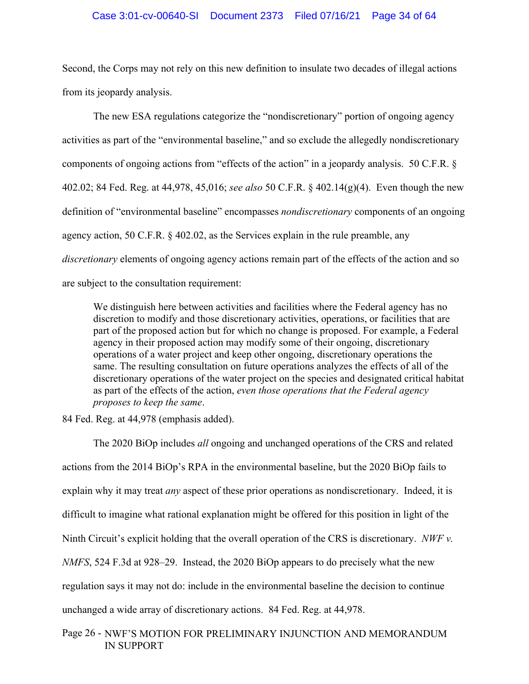### Case 3:01-cv-00640-SI Document 2373 Filed 07/16/21 Page 34 of 64

Second, the Corps may not rely on this new definition to insulate two decades of illegal actions from its jeopardy analysis.

The new ESA regulations categorize the "nondiscretionary" portion of ongoing agency activities as part of the "environmental baseline," and so exclude the allegedly nondiscretionary components of ongoing actions from "effects of the action" in a jeopardy analysis. 50 C.F.R. § 402.02; 84 Fed. Reg. at 44,978, 45,016; *see also* 50 C.F.R. § 402.14(g)(4). Even though the new definition of "environmental baseline" encompasses *nondiscretionary* components of an ongoing agency action, 50 C.F.R. § 402.02, as the Services explain in the rule preamble, any *discretionary* elements of ongoing agency actions remain part of the effects of the action and so are subject to the consultation requirement:

We distinguish here between activities and facilities where the Federal agency has no discretion to modify and those discretionary activities, operations, or facilities that are part of the proposed action but for which no change is proposed. For example, a Federal agency in their proposed action may modify some of their ongoing, discretionary operations of a water project and keep other ongoing, discretionary operations the same. The resulting consultation on future operations analyzes the effects of all of the discretionary operations of the water project on the species and designated critical habitat as part of the effects of the action, *even those operations that the Federal agency proposes to keep the same*.

84 Fed. Reg. at 44,978 (emphasis added).

The 2020 BiOp includes *all* ongoing and unchanged operations of the CRS and related actions from the 2014 BiOp's RPA in the environmental baseline, but the 2020 BiOp fails to explain why it may treat *any* aspect of these prior operations as nondiscretionary. Indeed, it is difficult to imagine what rational explanation might be offered for this position in light of the Ninth Circuit's explicit holding that the overall operation of the CRS is discretionary. *NWF v. NMFS*, 524 F.3d at 928–29. Instead, the 2020 BiOp appears to do precisely what the new regulation says it may not do: include in the environmental baseline the decision to continue unchanged a wide array of discretionary actions. 84 Fed. Reg. at 44,978.

Page 26 - NWF'S MOTION FOR PRELIMINARY INJUNCTION AND MEMORANDUM IN SUPPORT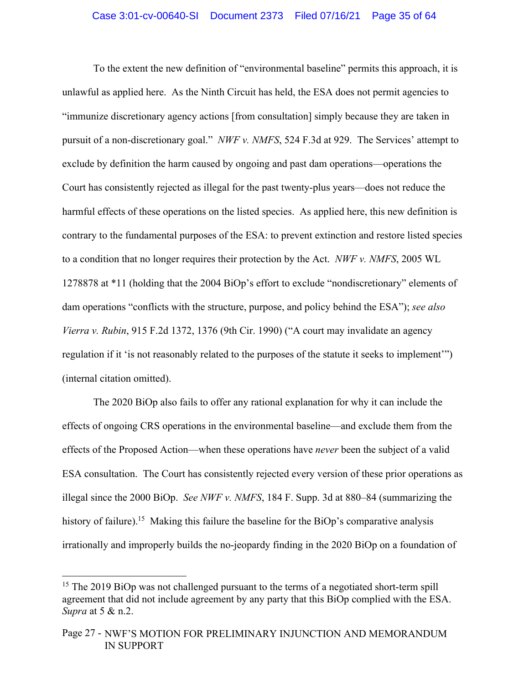To the extent the new definition of "environmental baseline" permits this approach, it is unlawful as applied here. As the Ninth Circuit has held, the ESA does not permit agencies to "immunize discretionary agency actions [from consultation] simply because they are taken in pursuit of a non-discretionary goal." *NWF v. NMFS*, 524 F.3d at 929. The Services' attempt to exclude by definition the harm caused by ongoing and past dam operations—operations the Court has consistently rejected as illegal for the past twenty-plus years—does not reduce the harmful effects of these operations on the listed species. As applied here, this new definition is contrary to the fundamental purposes of the ESA: to prevent extinction and restore listed species to a condition that no longer requires their protection by the Act. *NWF v. NMFS*, 2005 WL 1278878 at \*11 (holding that the 2004 BiOp's effort to exclude "nondiscretionary" elements of dam operations "conflicts with the structure, purpose, and policy behind the ESA"); *see also Vierra v. Rubin*, 915 F.2d 1372, 1376 (9th Cir. 1990) ("A court may invalidate an agency regulation if it 'is not reasonably related to the purposes of the statute it seeks to implement'") (internal citation omitted).

 The 2020 BiOp also fails to offer any rational explanation for why it can include the effects of ongoing CRS operations in the environmental baseline—and exclude them from the effects of the Proposed Action—when these operations have *never* been the subject of a valid ESA consultation. The Court has consistently rejected every version of these prior operations as illegal since the 2000 BiOp. *See NWF v. NMFS*, 184 F. Supp. 3d at 880–84 (summarizing the history of failure).<sup>15</sup> Making this failure the baseline for the BiOp's comparative analysis irrationally and improperly builds the no-jeopardy finding in the 2020 BiOp on a foundation of

<sup>&</sup>lt;sup>15</sup> The 2019 BiOp was not challenged pursuant to the terms of a negotiated short-term spill agreement that did not include agreement by any party that this BiOp complied with the ESA. *Supra* at 5 & n.2.

Page 27 - NWF'S MOTION FOR PRELIMINARY INJUNCTION AND MEMORANDUM IN SUPPORT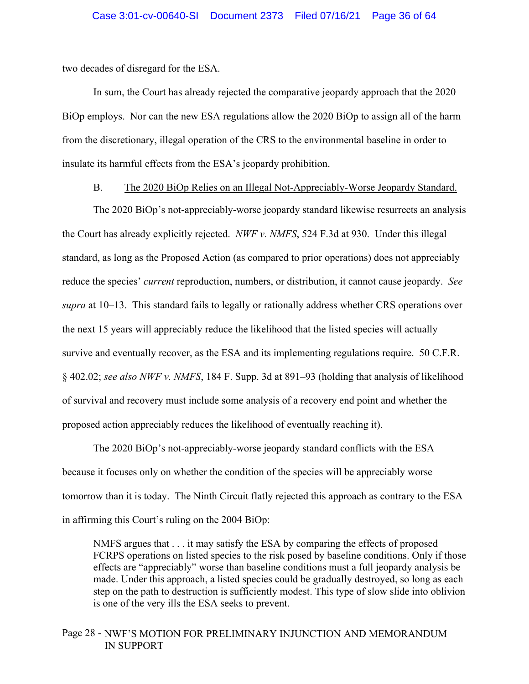two decades of disregard for the ESA.

 In sum, the Court has already rejected the comparative jeopardy approach that the 2020 BiOp employs. Nor can the new ESA regulations allow the 2020 BiOp to assign all of the harm from the discretionary, illegal operation of the CRS to the environmental baseline in order to insulate its harmful effects from the ESA's jeopardy prohibition.

B. The 2020 BiOp Relies on an Illegal Not-Appreciably-Worse Jeopardy Standard.

The 2020 BiOp's not-appreciably-worse jeopardy standard likewise resurrects an analysis the Court has already explicitly rejected. *NWF v. NMFS*, 524 F.3d at 930. Under this illegal standard, as long as the Proposed Action (as compared to prior operations) does not appreciably reduce the species' *current* reproduction, numbers, or distribution, it cannot cause jeopardy. *See supra* at 10–13. This standard fails to legally or rationally address whether CRS operations over the next 15 years will appreciably reduce the likelihood that the listed species will actually survive and eventually recover, as the ESA and its implementing regulations require. 50 C.F.R. § 402.02; *see also NWF v. NMFS*, 184 F. Supp. 3d at 891–93 (holding that analysis of likelihood of survival and recovery must include some analysis of a recovery end point and whether the proposed action appreciably reduces the likelihood of eventually reaching it).

The 2020 BiOp's not-appreciably-worse jeopardy standard conflicts with the ESA because it focuses only on whether the condition of the species will be appreciably worse tomorrow than it is today. The Ninth Circuit flatly rejected this approach as contrary to the ESA in affirming this Court's ruling on the 2004 BiOp:

NMFS argues that . . . it may satisfy the ESA by comparing the effects of proposed FCRPS operations on listed species to the risk posed by baseline conditions. Only if those effects are "appreciably" worse than baseline conditions must a full jeopardy analysis be made. Under this approach, a listed species could be gradually destroyed, so long as each step on the path to destruction is sufficiently modest. This type of slow slide into oblivion is one of the very ills the ESA seeks to prevent.

# Page 28 - NWF'S MOTION FOR PRELIMINARY INJUNCTION AND MEMORANDUM IN SUPPORT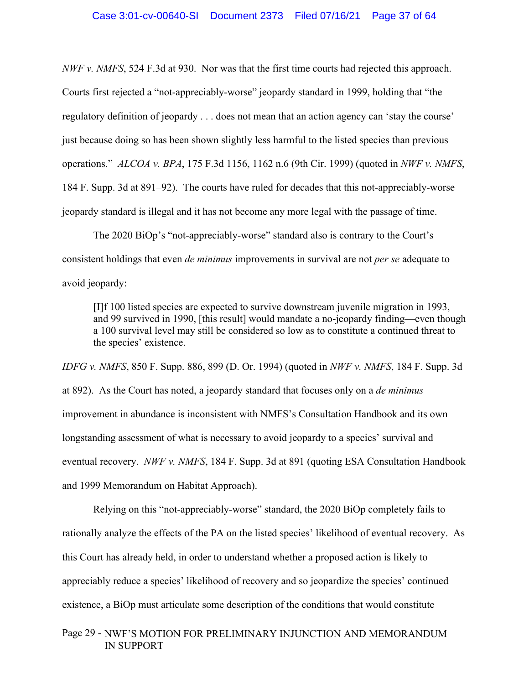*NWF v. NMFS*, 524 F.3d at 930. Nor was that the first time courts had rejected this approach. Courts first rejected a "not-appreciably-worse" jeopardy standard in 1999, holding that "the regulatory definition of jeopardy . . . does not mean that an action agency can 'stay the course' just because doing so has been shown slightly less harmful to the listed species than previous operations." *ALCOA v. BPA*, 175 F.3d 1156, 1162 n.6 (9th Cir. 1999) (quoted in *NWF v. NMFS*, 184 F. Supp. 3d at 891–92). The courts have ruled for decades that this not-appreciably-worse jeopardy standard is illegal and it has not become any more legal with the passage of time.

The 2020 BiOp's "not-appreciably-worse" standard also is contrary to the Court's consistent holdings that even *de minimus* improvements in survival are not *per se* adequate to avoid jeopardy:

[I]f 100 listed species are expected to survive downstream juvenile migration in 1993, and 99 survived in 1990, [this result] would mandate a no-jeopardy finding—even though a 100 survival level may still be considered so low as to constitute a continued threat to the species' existence.

*IDFG v. NMFS*, 850 F. Supp. 886, 899 (D. Or. 1994) (quoted in *NWF v. NMFS*, 184 F. Supp. 3d at 892). As the Court has noted, a jeopardy standard that focuses only on a *de minimus* improvement in abundance is inconsistent with NMFS's Consultation Handbook and its own longstanding assessment of what is necessary to avoid jeopardy to a species' survival and eventual recovery. *NWF v. NMFS*, 184 F. Supp. 3d at 891 (quoting ESA Consultation Handbook and 1999 Memorandum on Habitat Approach).

Relying on this "not-appreciably-worse" standard, the 2020 BiOp completely fails to rationally analyze the effects of the PA on the listed species' likelihood of eventual recovery. As this Court has already held, in order to understand whether a proposed action is likely to appreciably reduce a species' likelihood of recovery and so jeopardize the species' continued existence, a BiOp must articulate some description of the conditions that would constitute

# Page 29 - NWF'S MOTION FOR PRELIMINARY INJUNCTION AND MEMORANDUM IN SUPPORT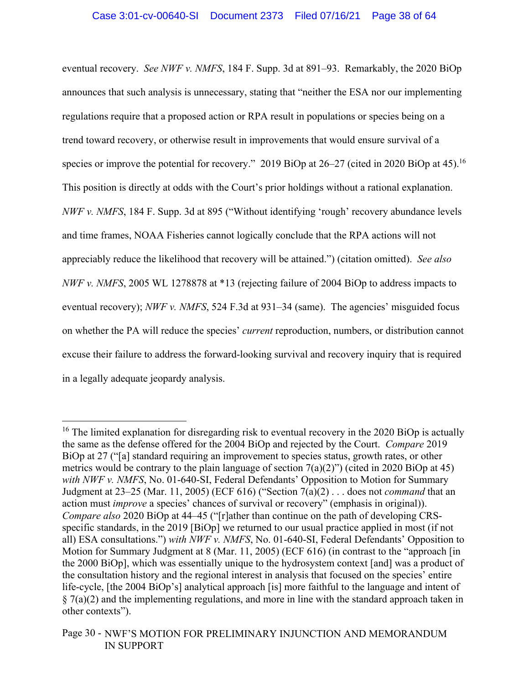eventual recovery. *See NWF v. NMFS*, 184 F. Supp. 3d at 891–93. Remarkably, the 2020 BiOp announces that such analysis is unnecessary, stating that "neither the ESA nor our implementing regulations require that a proposed action or RPA result in populations or species being on a trend toward recovery, or otherwise result in improvements that would ensure survival of a species or improve the potential for recovery." 2019 BiOp at 26–27 (cited in 2020 BiOp at 45).<sup>16</sup> This position is directly at odds with the Court's prior holdings without a rational explanation. *NWF v. NMFS*, 184 F. Supp. 3d at 895 ("Without identifying 'rough' recovery abundance levels and time frames, NOAA Fisheries cannot logically conclude that the RPA actions will not appreciably reduce the likelihood that recovery will be attained.") (citation omitted). *See also NWF v. NMFS*, 2005 WL 1278878 at \*13 (rejecting failure of 2004 BiOp to address impacts to eventual recovery); *NWF v. NMFS*, 524 F.3d at 931–34 (same). The agencies' misguided focus on whether the PA will reduce the species' *current* reproduction, numbers, or distribution cannot excuse their failure to address the forward-looking survival and recovery inquiry that is required in a legally adequate jeopardy analysis.

<sup>&</sup>lt;sup>16</sup> The limited explanation for disregarding risk to eventual recovery in the 2020 BiOp is actually the same as the defense offered for the 2004 BiOp and rejected by the Court. *Compare* 2019 BiOp at 27 ("[a] standard requiring an improvement to species status, growth rates, or other metrics would be contrary to the plain language of section  $7(a)(2)$ ") (cited in 2020 BiOp at 45) *with NWF v. NMFS*, No. 01-640-SI, Federal Defendants' Opposition to Motion for Summary Judgment at 23–25 (Mar. 11, 2005) (ECF 616) ("Section 7(a)(2) . . . does not *command* that an action must *improve* a species' chances of survival or recovery" (emphasis in original)). *Compare also* 2020 BiOp at 44–45 ("[r]ather than continue on the path of developing CRSspecific standards, in the 2019 [BiOp] we returned to our usual practice applied in most (if not all) ESA consultations.") *with NWF v. NMFS*, No. 01-640-SI, Federal Defendants' Opposition to Motion for Summary Judgment at 8 (Mar. 11, 2005) (ECF 616) (in contrast to the "approach [in the 2000 BiOp], which was essentially unique to the hydrosystem context [and] was a product of the consultation history and the regional interest in analysis that focused on the species' entire life-cycle, [the 2004 BiOp's] analytical approach [is] more faithful to the language and intent of  $\S 7(a)(2)$  and the implementing regulations, and more in line with the standard approach taken in other contexts").

Page 30 - NWF'S MOTION FOR PRELIMINARY INJUNCTION AND MEMORANDUM IN SUPPORT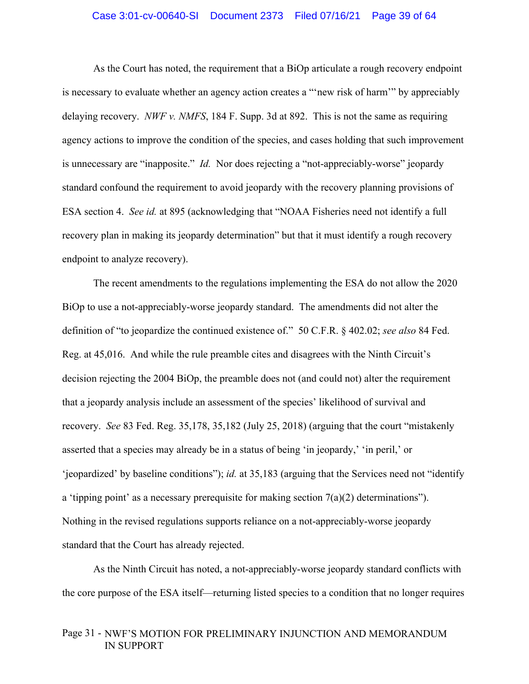### Case 3:01-cv-00640-SI Document 2373 Filed 07/16/21 Page 39 of 64

As the Court has noted, the requirement that a BiOp articulate a rough recovery endpoint is necessary to evaluate whether an agency action creates a "'new risk of harm'" by appreciably delaying recovery. *NWF v. NMFS*, 184 F. Supp. 3d at 892. This is not the same as requiring agency actions to improve the condition of the species, and cases holding that such improvement is unnecessary are "inapposite." *Id.* Nor does rejecting a "not-appreciably-worse" jeopardy standard confound the requirement to avoid jeopardy with the recovery planning provisions of ESA section 4. *See id.* at 895 (acknowledging that "NOAA Fisheries need not identify a full recovery plan in making its jeopardy determination" but that it must identify a rough recovery endpoint to analyze recovery).

The recent amendments to the regulations implementing the ESA do not allow the 2020 BiOp to use a not-appreciably-worse jeopardy standard. The amendments did not alter the definition of "to jeopardize the continued existence of." 50 C.F.R. § 402.02; *see also* 84 Fed. Reg. at 45,016. And while the rule preamble cites and disagrees with the Ninth Circuit's decision rejecting the 2004 BiOp, the preamble does not (and could not) alter the requirement that a jeopardy analysis include an assessment of the species' likelihood of survival and recovery. *See* 83 Fed. Reg. 35,178, 35,182 (July 25, 2018) (arguing that the court "mistakenly asserted that a species may already be in a status of being 'in jeopardy,' 'in peril,' or 'jeopardized' by baseline conditions"); *id.* at 35,183 (arguing that the Services need not "identify a 'tipping point' as a necessary prerequisite for making section  $7(a)(2)$  determinations"). Nothing in the revised regulations supports reliance on a not-appreciably-worse jeopardy standard that the Court has already rejected.

As the Ninth Circuit has noted, a not-appreciably-worse jeopardy standard conflicts with the core purpose of the ESA itself—returning listed species to a condition that no longer requires

# Page 31 - NWF'S MOTION FOR PRELIMINARY INJUNCTION AND MEMORANDUM IN SUPPORT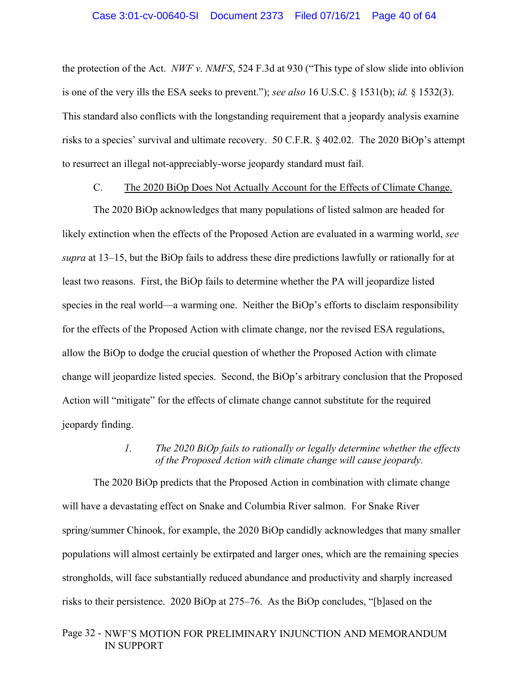the protection of the Act. *NWF v. NMFS*, 524 F.3d at 930 ("This type of slow slide into oblivion is one of the very ills the ESA seeks to prevent."); *see also* 16 U.S.C. § 1531(b); *id.* § 1532(3). This standard also conflicts with the longstanding requirement that a jeopardy analysis examine risks to a species' survival and ultimate recovery. 50 C.F.R. § 402.02. The 2020 BiOp's attempt to resurrect an illegal not-appreciably-worse jeopardy standard must fail.

### C. The 2020 BiOp Does Not Actually Account for the Effects of Climate Change.

The 2020 BiOp acknowledges that many populations of listed salmon are headed for likely extinction when the effects of the Proposed Action are evaluated in a warming world, *see supra* at 13–15, but the BiOp fails to address these dire predictions lawfully or rationally for at least two reasons. First, the BiOp fails to determine whether the PA will jeopardize listed species in the real world—a warming one. Neither the BiOp's efforts to disclaim responsibility for the effects of the Proposed Action with climate change, nor the revised ESA regulations, allow the BiOp to dodge the crucial question of whether the Proposed Action with climate change will jeopardize listed species. Second, the BiOp's arbitrary conclusion that the Proposed Action will "mitigate" for the effects of climate change cannot substitute for the required jeopardy finding.

# *1. The 2020 BiOp fails to rationally or legally determine whether the effects of the Proposed Action with climate change will cause jeopardy.*

The 2020 BiOp predicts that the Proposed Action in combination with climate change will have a devastating effect on Snake and Columbia River salmon. For Snake River spring/summer Chinook, for example, the 2020 BiOp candidly acknowledges that many smaller populations will almost certainly be extirpated and larger ones, which are the remaining species strongholds, will face substantially reduced abundance and productivity and sharply increased risks to their persistence. 2020 BiOp at 275–76. As the BiOp concludes, "[b]ased on the

# Page 32 - NWF'S MOTION FOR PRELIMINARY INJUNCTION AND MEMORANDUM IN SUPPORT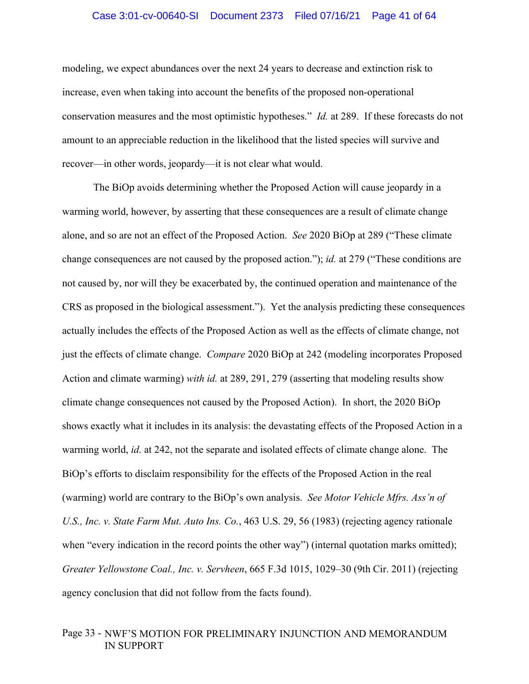### Case 3:01-cv-00640-SI Document 2373 Filed 07/16/21 Page 41 of 64

modeling, we expect abundances over the next 24 years to decrease and extinction risk to increase, even when taking into account the benefits of the proposed non-operational conservation measures and the most optimistic hypotheses." *Id.* at 289. If these forecasts do not amount to an appreciable reduction in the likelihood that the listed species will survive and recover—in other words, jeopardy—it is not clear what would.

The BiOp avoids determining whether the Proposed Action will cause jeopardy in a warming world, however, by asserting that these consequences are a result of climate change alone, and so are not an effect of the Proposed Action. *See* 2020 BiOp at 289 ("These climate change consequences are not caused by the proposed action."); *id.* at 279 ("These conditions are not caused by, nor will they be exacerbated by, the continued operation and maintenance of the CRS as proposed in the biological assessment."). Yet the analysis predicting these consequences actually includes the effects of the Proposed Action as well as the effects of climate change, not just the effects of climate change. *Compare* 2020 BiOp at 242 (modeling incorporates Proposed Action and climate warming) *with id.* at 289, 291, 279 (asserting that modeling results show climate change consequences not caused by the Proposed Action). In short, the 2020 BiOp shows exactly what it includes in its analysis: the devastating effects of the Proposed Action in a warming world, *id.* at 242, not the separate and isolated effects of climate change alone. The BiOp's efforts to disclaim responsibility for the effects of the Proposed Action in the real (warming) world are contrary to the BiOp's own analysis. *See Motor Vehicle Mfrs. Ass'n of U.S., Inc. v. State Farm Mut. Auto Ins. Co.*, 463 U.S. 29, 56 (1983) (rejecting agency rationale when "every indication in the record points the other way") (internal quotation marks omitted); *Greater Yellowstone Coal., Inc. v. Servheen*, 665 F.3d 1015, 1029–30 (9th Cir. 2011) (rejecting agency conclusion that did not follow from the facts found).

# Page 33 - NWF'S MOTION FOR PRELIMINARY INJUNCTION AND MEMORANDUM IN SUPPORT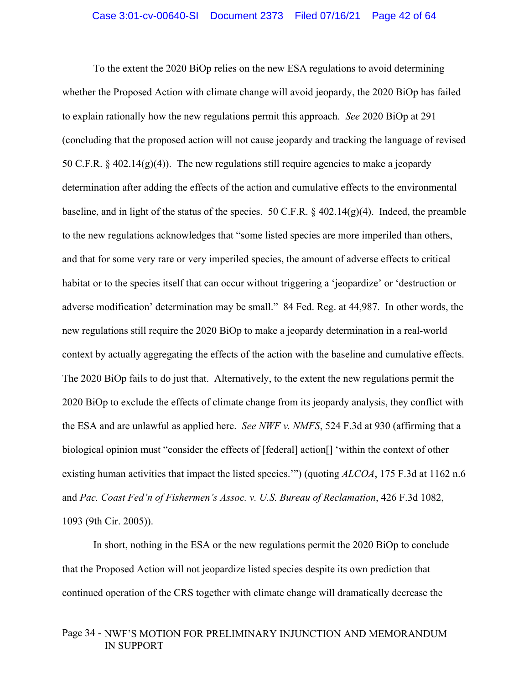To the extent the 2020 BiOp relies on the new ESA regulations to avoid determining whether the Proposed Action with climate change will avoid jeopardy, the 2020 BiOp has failed to explain rationally how the new regulations permit this approach. *See* 2020 BiOp at 291 (concluding that the proposed action will not cause jeopardy and tracking the language of revised 50 C.F.R.  $\S$  402.14(g)(4)). The new regulations still require agencies to make a jeopardy determination after adding the effects of the action and cumulative effects to the environmental baseline, and in light of the status of the species. 50 C.F.R.  $\frac{6}{9}$  402.14(g)(4). Indeed, the preamble to the new regulations acknowledges that "some listed species are more imperiled than others, and that for some very rare or very imperiled species, the amount of adverse effects to critical habitat or to the species itself that can occur without triggering a 'jeopardize' or 'destruction or adverse modification' determination may be small." 84 Fed. Reg. at 44,987. In other words, the new regulations still require the 2020 BiOp to make a jeopardy determination in a real-world context by actually aggregating the effects of the action with the baseline and cumulative effects. The 2020 BiOp fails to do just that. Alternatively, to the extent the new regulations permit the 2020 BiOp to exclude the effects of climate change from its jeopardy analysis, they conflict with the ESA and are unlawful as applied here. *See NWF v. NMFS*, 524 F.3d at 930 (affirming that a biological opinion must "consider the effects of [federal] action[] 'within the context of other existing human activities that impact the listed species.'") (quoting *ALCOA*, 175 F.3d at 1162 n.6 and *Pac. Coast Fed'n of Fishermen's Assoc. v. U.S. Bureau of Reclamation*, 426 F.3d 1082, 1093 (9th Cir. 2005)).

In short, nothing in the ESA or the new regulations permit the 2020 BiOp to conclude that the Proposed Action will not jeopardize listed species despite its own prediction that continued operation of the CRS together with climate change will dramatically decrease the

# Page 34 - NWF'S MOTION FOR PRELIMINARY INJUNCTION AND MEMORANDUM IN SUPPORT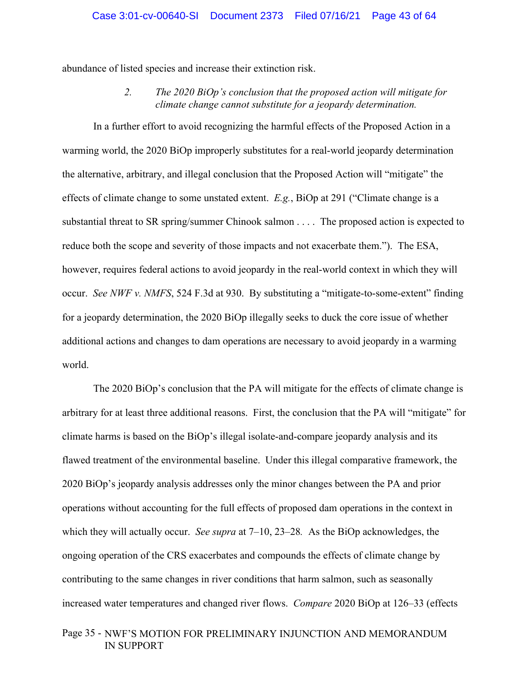abundance of listed species and increase their extinction risk.

*2. The 2020 BiOp's conclusion that the proposed action will mitigate for climate change cannot substitute for a jeopardy determination.* 

In a further effort to avoid recognizing the harmful effects of the Proposed Action in a warming world, the 2020 BiOp improperly substitutes for a real-world jeopardy determination the alternative, arbitrary, and illegal conclusion that the Proposed Action will "mitigate" the effects of climate change to some unstated extent. *E.g.*, BiOp at 291 ("Climate change is a substantial threat to SR spring/summer Chinook salmon . . . . The proposed action is expected to reduce both the scope and severity of those impacts and not exacerbate them."). The ESA, however, requires federal actions to avoid jeopardy in the real-world context in which they will occur. *See NWF v. NMFS*, 524 F.3d at 930. By substituting a "mitigate-to-some-extent" finding for a jeopardy determination, the 2020 BiOp illegally seeks to duck the core issue of whether additional actions and changes to dam operations are necessary to avoid jeopardy in a warming world.

The 2020 BiOp's conclusion that the PA will mitigate for the effects of climate change is arbitrary for at least three additional reasons. First, the conclusion that the PA will "mitigate" for climate harms is based on the BiOp's illegal isolate-and-compare jeopardy analysis and its flawed treatment of the environmental baseline. Under this illegal comparative framework, the 2020 BiOp's jeopardy analysis addresses only the minor changes between the PA and prior operations without accounting for the full effects of proposed dam operations in the context in which they will actually occur. *See supra* at 7–10, 23–28*.* As the BiOp acknowledges, the ongoing operation of the CRS exacerbates and compounds the effects of climate change by contributing to the same changes in river conditions that harm salmon, such as seasonally increased water temperatures and changed river flows. *Compare* 2020 BiOp at 126–33 (effects

# Page 35 - NWF'S MOTION FOR PRELIMINARY INJUNCTION AND MEMORANDUM IN SUPPORT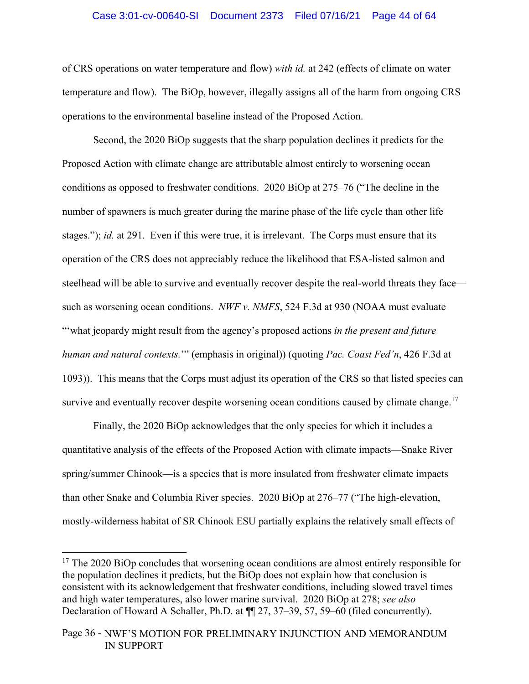### Case 3:01-cv-00640-SI Document 2373 Filed 07/16/21 Page 44 of 64

of CRS operations on water temperature and flow) *with id.* at 242 (effects of climate on water temperature and flow). The BiOp, however, illegally assigns all of the harm from ongoing CRS operations to the environmental baseline instead of the Proposed Action.

Second, the 2020 BiOp suggests that the sharp population declines it predicts for the Proposed Action with climate change are attributable almost entirely to worsening ocean conditions as opposed to freshwater conditions. 2020 BiOp at 275–76 ("The decline in the number of spawners is much greater during the marine phase of the life cycle than other life stages."); *id.* at 291. Even if this were true, it is irrelevant. The Corps must ensure that its operation of the CRS does not appreciably reduce the likelihood that ESA-listed salmon and steelhead will be able to survive and eventually recover despite the real-world threats they face such as worsening ocean conditions. *NWF v. NMFS*, 524 F.3d at 930 (NOAA must evaluate "'what jeopardy might result from the agency's proposed actions *in the present and future human and natural contexts.*'" (emphasis in original)) (quoting *Pac. Coast Fed'n*, 426 F.3d at 1093)). This means that the Corps must adjust its operation of the CRS so that listed species can survive and eventually recover despite worsening ocean conditions caused by climate change.<sup>17</sup>

Finally, the 2020 BiOp acknowledges that the only species for which it includes a quantitative analysis of the effects of the Proposed Action with climate impacts—Snake River spring/summer Chinook—is a species that is more insulated from freshwater climate impacts than other Snake and Columbia River species. 2020 BiOp at 276–77 ("The high-elevation, mostly-wilderness habitat of SR Chinook ESU partially explains the relatively small effects of

<sup>&</sup>lt;sup>17</sup> The 2020 BiOp concludes that worsening ocean conditions are almost entirely responsible for the population declines it predicts, but the BiOp does not explain how that conclusion is consistent with its acknowledgement that freshwater conditions, including slowed travel times and high water temperatures, also lower marine survival. 2020 BiOp at 278; *see also*  Declaration of Howard A Schaller, Ph.D. at  $\P$  27, 37–39, 57, 59–60 (filed concurrently).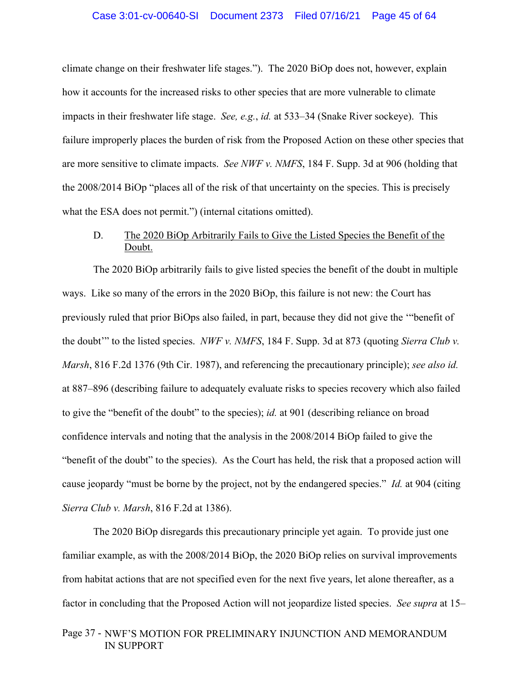climate change on their freshwater life stages."). The 2020 BiOp does not, however, explain how it accounts for the increased risks to other species that are more vulnerable to climate impacts in their freshwater life stage. *See, e.g.*, *id.* at 533–34 (Snake River sockeye). This failure improperly places the burden of risk from the Proposed Action on these other species that are more sensitive to climate impacts. *See NWF v. NMFS*, 184 F. Supp. 3d at 906 (holding that the 2008/2014 BiOp "places all of the risk of that uncertainty on the species. This is precisely what the ESA does not permit.") (internal citations omitted).

# D. The 2020 BiOp Arbitrarily Fails to Give the Listed Species the Benefit of the Doubt.

The 2020 BiOp arbitrarily fails to give listed species the benefit of the doubt in multiple ways. Like so many of the errors in the 2020 BiOp, this failure is not new: the Court has previously ruled that prior BiOps also failed, in part, because they did not give the '"benefit of the doubt'" to the listed species. *NWF v. NMFS*, 184 F. Supp. 3d at 873 (quoting *Sierra Club v. Marsh*, 816 F.2d 1376 (9th Cir. 1987), and referencing the precautionary principle); *see also id.* at 887–896 (describing failure to adequately evaluate risks to species recovery which also failed to give the "benefit of the doubt" to the species); *id.* at 901 (describing reliance on broad confidence intervals and noting that the analysis in the 2008/2014 BiOp failed to give the "benefit of the doubt" to the species). As the Court has held, the risk that a proposed action will cause jeopardy "must be borne by the project, not by the endangered species." *Id.* at 904 (citing *Sierra Club v. Marsh*, 816 F.2d at 1386).

The 2020 BiOp disregards this precautionary principle yet again. To provide just one familiar example, as with the 2008/2014 BiOp, the 2020 BiOp relies on survival improvements from habitat actions that are not specified even for the next five years, let alone thereafter, as a factor in concluding that the Proposed Action will not jeopardize listed species. *See supra* at 15–

# Page 37 - NWF'S MOTION FOR PRELIMINARY INJUNCTION AND MEMORANDUM IN SUPPORT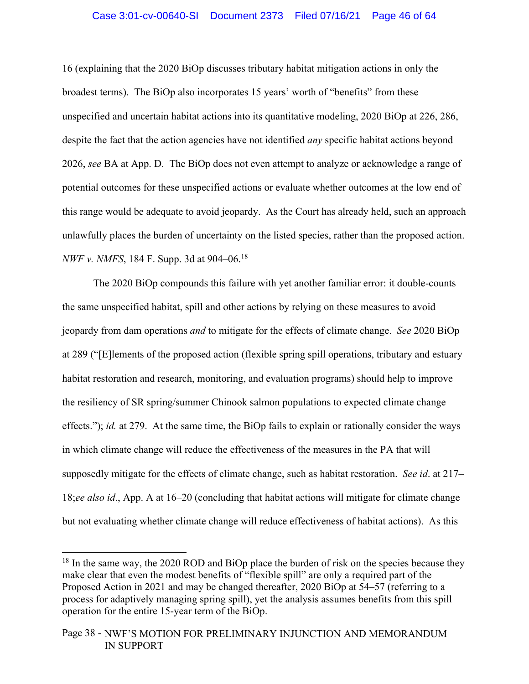### Case 3:01-cv-00640-SI Document 2373 Filed 07/16/21 Page 46 of 64

16 (explaining that the 2020 BiOp discusses tributary habitat mitigation actions in only the broadest terms). The BiOp also incorporates 15 years' worth of "benefits" from these unspecified and uncertain habitat actions into its quantitative modeling, 2020 BiOp at 226, 286, despite the fact that the action agencies have not identified *any* specific habitat actions beyond 2026, *see* BA at App. D. The BiOp does not even attempt to analyze or acknowledge a range of potential outcomes for these unspecified actions or evaluate whether outcomes at the low end of this range would be adequate to avoid jeopardy. As the Court has already held, such an approach unlawfully places the burden of uncertainty on the listed species, rather than the proposed action. *NWF v. NMFS*, 184 F. Supp. 3d at 904–06.<sup>18</sup>

The 2020 BiOp compounds this failure with yet another familiar error: it double-counts the same unspecified habitat, spill and other actions by relying on these measures to avoid jeopardy from dam operations *and* to mitigate for the effects of climate change. *See* 2020 BiOp at 289 ("[E]lements of the proposed action (flexible spring spill operations, tributary and estuary habitat restoration and research, monitoring, and evaluation programs) should help to improve the resiliency of SR spring/summer Chinook salmon populations to expected climate change effects."); *id.* at 279. At the same time, the BiOp fails to explain or rationally consider the ways in which climate change will reduce the effectiveness of the measures in the PA that will supposedly mitigate for the effects of climate change, such as habitat restoration. *See id*. at 217– 18;*ee also id*., App. A at 16–20 (concluding that habitat actions will mitigate for climate change but not evaluating whether climate change will reduce effectiveness of habitat actions). As this

 $18$  In the same way, the 2020 ROD and BiOp place the burden of risk on the species because they make clear that even the modest benefits of "flexible spill" are only a required part of the Proposed Action in 2021 and may be changed thereafter, 2020 BiOp at 54–57 (referring to a process for adaptively managing spring spill), yet the analysis assumes benefits from this spill operation for the entire 15-year term of the BiOp.

Page 38 - NWF'S MOTION FOR PRELIMINARY INJUNCTION AND MEMORANDUM IN SUPPORT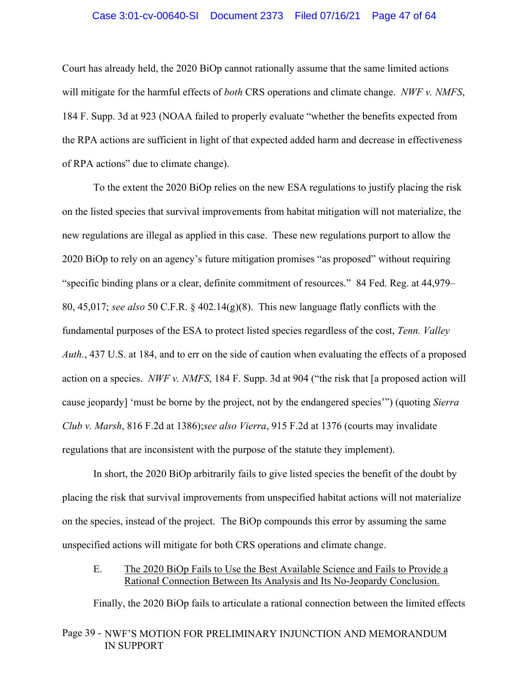### Case 3:01-cv-00640-SI Document 2373 Filed 07/16/21 Page 47 of 64

Court has already held, the 2020 BiOp cannot rationally assume that the same limited actions will mitigate for the harmful effects of *both* CRS operations and climate change. *NWF v. NMFS*, 184 F. Supp. 3d at 923 (NOAA failed to properly evaluate "whether the benefits expected from the RPA actions are sufficient in light of that expected added harm and decrease in effectiveness of RPA actions" due to climate change).

To the extent the 2020 BiOp relies on the new ESA regulations to justify placing the risk on the listed species that survival improvements from habitat mitigation will not materialize, the new regulations are illegal as applied in this case. These new regulations purport to allow the 2020 BiOp to rely on an agency's future mitigation promises "as proposed" without requiring "specific binding plans or a clear, definite commitment of resources." 84 Fed. Reg. at 44,979– 80, 45,017; *see also* 50 C.F.R. § 402.14(g)(8). This new language flatly conflicts with the fundamental purposes of the ESA to protect listed species regardless of the cost, *Tenn. Valley Auth.*, 437 U.S. at 184, and to err on the side of caution when evaluating the effects of a proposed action on a species. *NWF v. NMFS*, 184 F. Supp. 3d at 904 ("the risk that [a proposed action will cause jeopardy] 'must be borne by the project, not by the endangered species'") (quoting *Sierra Club v. Marsh*, 816 F.2d at 1386);*see also Vierra*, 915 F.2d at 1376 (courts may invalidate regulations that are inconsistent with the purpose of the statute they implement).

In short, the 2020 BiOp arbitrarily fails to give listed species the benefit of the doubt by placing the risk that survival improvements from unspecified habitat actions will not materialize on the species, instead of the project. The BiOp compounds this error by assuming the same unspecified actions will mitigate for both CRS operations and climate change.

# E. The 2020 BiOp Fails to Use the Best Available Science and Fails to Provide a Rational Connection Between Its Analysis and Its No-Jeopardy Conclusion.

Finally, the 2020 BiOp fails to articulate a rational connection between the limited effects

# Page 39 - NWF'S MOTION FOR PRELIMINARY INJUNCTION AND MEMORANDUM IN SUPPORT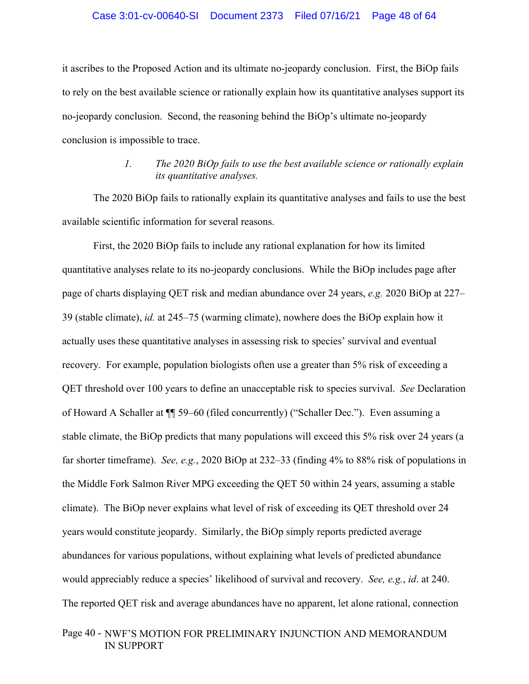### Case 3:01-cv-00640-SI Document 2373 Filed 07/16/21 Page 48 of 64

it ascribes to the Proposed Action and its ultimate no-jeopardy conclusion. First, the BiOp fails to rely on the best available science or rationally explain how its quantitative analyses support its no-jeopardy conclusion. Second, the reasoning behind the BiOp's ultimate no-jeopardy conclusion is impossible to trace.

# *1. The 2020 BiOp fails to use the best available science or rationally explain its quantitative analyses.*

The 2020 BiOp fails to rationally explain its quantitative analyses and fails to use the best available scientific information for several reasons.

First, the 2020 BiOp fails to include any rational explanation for how its limited quantitative analyses relate to its no-jeopardy conclusions. While the BiOp includes page after page of charts displaying QET risk and median abundance over 24 years, *e.g.* 2020 BiOp at 227– 39 (stable climate), *id.* at 245–75 (warming climate), nowhere does the BiOp explain how it actually uses these quantitative analyses in assessing risk to species' survival and eventual recovery. For example, population biologists often use a greater than 5% risk of exceeding a QET threshold over 100 years to define an unacceptable risk to species survival. *See* Declaration of Howard A Schaller at ¶¶ 59–60 (filed concurrently) ("Schaller Dec."). Even assuming a stable climate, the BiOp predicts that many populations will exceed this 5% risk over 24 years (a far shorter timeframe). *See, e.g.*, 2020 BiOp at 232–33 (finding 4% to 88% risk of populations in the Middle Fork Salmon River MPG exceeding the QET 50 within 24 years, assuming a stable climate). The BiOp never explains what level of risk of exceeding its QET threshold over 24 years would constitute jeopardy. Similarly, the BiOp simply reports predicted average abundances for various populations, without explaining what levels of predicted abundance would appreciably reduce a species' likelihood of survival and recovery. *See, e.g.*, *id*. at 240. The reported QET risk and average abundances have no apparent, let alone rational, connection

# Page 40 - NWF'S MOTION FOR PRELIMINARY INJUNCTION AND MEMORANDUM IN SUPPORT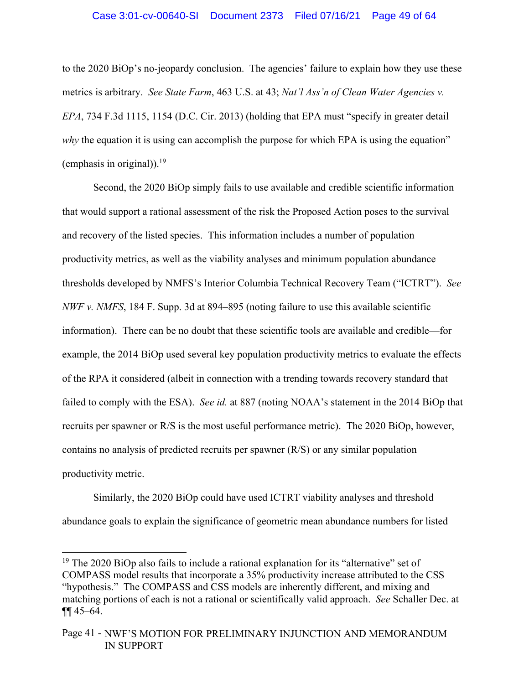### Case 3:01-cv-00640-SI Document 2373 Filed 07/16/21 Page 49 of 64

to the 2020 BiOp's no-jeopardy conclusion. The agencies' failure to explain how they use these metrics is arbitrary. *See State Farm*, 463 U.S. at 43; *Nat'l Ass'n of Clean Water Agencies v. EPA*, 734 F.3d 1115, 1154 (D.C. Cir. 2013) (holding that EPA must "specify in greater detail *why* the equation it is using can accomplish the purpose for which EPA is using the equation" (emphasis in original)).<sup>19</sup>

Second, the 2020 BiOp simply fails to use available and credible scientific information that would support a rational assessment of the risk the Proposed Action poses to the survival and recovery of the listed species. This information includes a number of population productivity metrics, as well as the viability analyses and minimum population abundance thresholds developed by NMFS's Interior Columbia Technical Recovery Team ("ICTRT"). *See NWF v. NMFS*, 184 F. Supp. 3d at 894–895 (noting failure to use this available scientific information). There can be no doubt that these scientific tools are available and credible—for example, the 2014 BiOp used several key population productivity metrics to evaluate the effects of the RPA it considered (albeit in connection with a trending towards recovery standard that failed to comply with the ESA). *See id.* at 887 (noting NOAA's statement in the 2014 BiOp that recruits per spawner or R/S is the most useful performance metric). The 2020 BiOp, however, contains no analysis of predicted recruits per spawner (R/S) or any similar population productivity metric.

Similarly, the 2020 BiOp could have used ICTRT viability analyses and threshold abundance goals to explain the significance of geometric mean abundance numbers for listed

<sup>&</sup>lt;sup>19</sup> The 2020 BiOp also fails to include a rational explanation for its "alternative" set of COMPASS model results that incorporate a 35% productivity increase attributed to the CSS "hypothesis." The COMPASS and CSS models are inherently different, and mixing and matching portions of each is not a rational or scientifically valid approach. *See* Schaller Dec. at ¶¶ 45–64.

Page 41 - NWF'S MOTION FOR PRELIMINARY INJUNCTION AND MEMORANDUM IN SUPPORT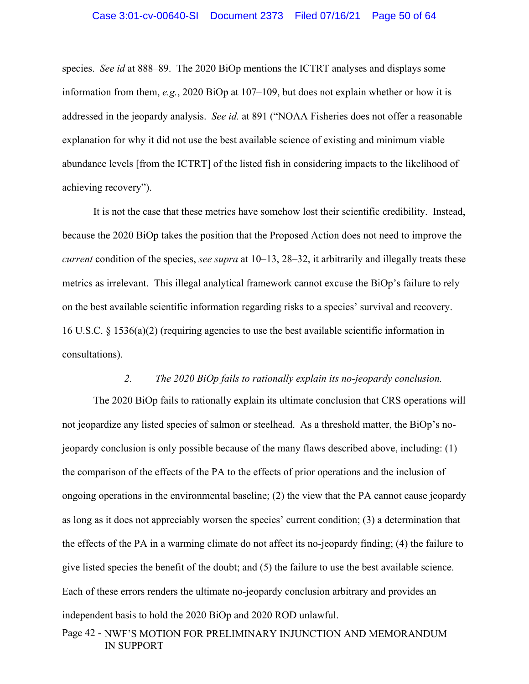#### Case 3:01-cv-00640-SI Document 2373 Filed 07/16/21 Page 50 of 64

species. *See id* at 888–89. The 2020 BiOp mentions the ICTRT analyses and displays some information from them, *e.g.*, 2020 BiOp at 107–109, but does not explain whether or how it is addressed in the jeopardy analysis. *See id.* at 891 ("NOAA Fisheries does not offer a reasonable explanation for why it did not use the best available science of existing and minimum viable abundance levels [from the ICTRT] of the listed fish in considering impacts to the likelihood of achieving recovery").

It is not the case that these metrics have somehow lost their scientific credibility. Instead, because the 2020 BiOp takes the position that the Proposed Action does not need to improve the *current* condition of the species, *see supra* at 10–13, 28–32, it arbitrarily and illegally treats these metrics as irrelevant. This illegal analytical framework cannot excuse the BiOp's failure to rely on the best available scientific information regarding risks to a species' survival and recovery. 16 U.S.C. § 1536(a)(2) (requiring agencies to use the best available scientific information in consultations).

### *2. The 2020 BiOp fails to rationally explain its no-jeopardy conclusion.*

The 2020 BiOp fails to rationally explain its ultimate conclusion that CRS operations will not jeopardize any listed species of salmon or steelhead. As a threshold matter, the BiOp's nojeopardy conclusion is only possible because of the many flaws described above, including: (1) the comparison of the effects of the PA to the effects of prior operations and the inclusion of ongoing operations in the environmental baseline; (2) the view that the PA cannot cause jeopardy as long as it does not appreciably worsen the species' current condition; (3) a determination that the effects of the PA in a warming climate do not affect its no-jeopardy finding; (4) the failure to give listed species the benefit of the doubt; and (5) the failure to use the best available science. Each of these errors renders the ultimate no-jeopardy conclusion arbitrary and provides an independent basis to hold the 2020 BiOp and 2020 ROD unlawful.

Page 42 - NWF'S MOTION FOR PRELIMINARY INJUNCTION AND MEMORANDUM IN SUPPORT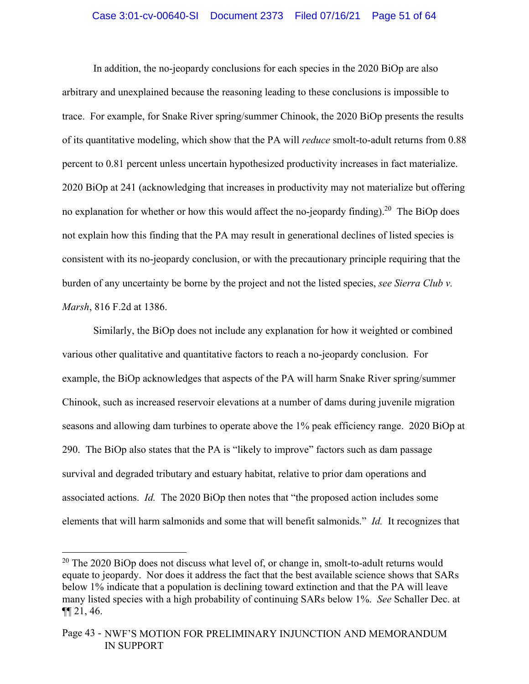### Case 3:01-cv-00640-SI Document 2373 Filed 07/16/21 Page 51 of 64

In addition, the no-jeopardy conclusions for each species in the 2020 BiOp are also arbitrary and unexplained because the reasoning leading to these conclusions is impossible to trace. For example, for Snake River spring/summer Chinook, the 2020 BiOp presents the results of its quantitative modeling, which show that the PA will *reduce* smolt-to-adult returns from 0.88 percent to 0.81 percent unless uncertain hypothesized productivity increases in fact materialize. 2020 BiOp at 241 (acknowledging that increases in productivity may not materialize but offering no explanation for whether or how this would affect the no-jeopardy finding).<sup>20</sup> The BiOp does not explain how this finding that the PA may result in generational declines of listed species is consistent with its no-jeopardy conclusion, or with the precautionary principle requiring that the burden of any uncertainty be borne by the project and not the listed species, *see Sierra Club v. Marsh*, 816 F.2d at 1386.

Similarly, the BiOp does not include any explanation for how it weighted or combined various other qualitative and quantitative factors to reach a no-jeopardy conclusion. For example, the BiOp acknowledges that aspects of the PA will harm Snake River spring/summer Chinook, such as increased reservoir elevations at a number of dams during juvenile migration seasons and allowing dam turbines to operate above the 1% peak efficiency range. 2020 BiOp at 290. The BiOp also states that the PA is "likely to improve" factors such as dam passage survival and degraded tributary and estuary habitat, relative to prior dam operations and associated actions. *Id.* The 2020 BiOp then notes that "the proposed action includes some elements that will harm salmonids and some that will benefit salmonids." *Id.* It recognizes that

<sup>&</sup>lt;sup>20</sup> The 2020 BiOp does not discuss what level of, or change in, smolt-to-adult returns would equate to jeopardy. Nor does it address the fact that the best available science shows that SARs below 1% indicate that a population is declining toward extinction and that the PA will leave many listed species with a high probability of continuing SARs below 1%. *See* Schaller Dec. at ¶¶ 21, 46.

Page 43 - NWF'S MOTION FOR PRELIMINARY INJUNCTION AND MEMORANDUM IN SUPPORT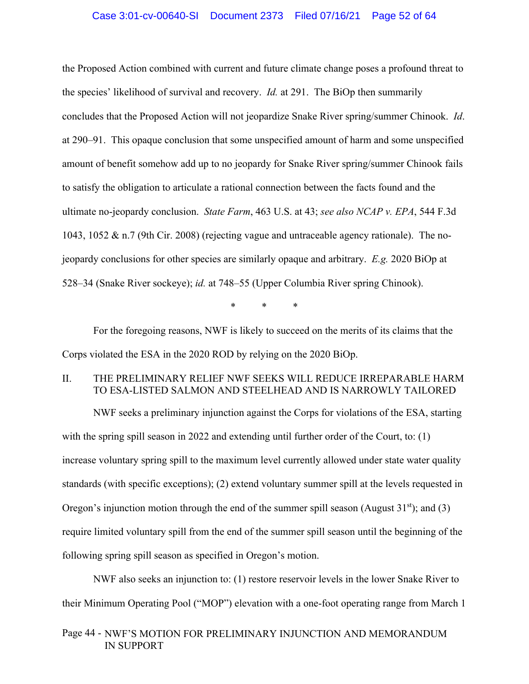### Case 3:01-cv-00640-SI Document 2373 Filed 07/16/21 Page 52 of 64

the Proposed Action combined with current and future climate change poses a profound threat to the species' likelihood of survival and recovery. *Id.* at 291. The BiOp then summarily concludes that the Proposed Action will not jeopardize Snake River spring/summer Chinook. *Id*. at 290–91. This opaque conclusion that some unspecified amount of harm and some unspecified amount of benefit somehow add up to no jeopardy for Snake River spring/summer Chinook fails to satisfy the obligation to articulate a rational connection between the facts found and the ultimate no-jeopardy conclusion. *State Farm*, 463 U.S. at 43; *see also NCAP v. EPA*, 544 F.3d 1043, 1052 & n.7 (9th Cir. 2008) (rejecting vague and untraceable agency rationale). The nojeopardy conclusions for other species are similarly opaque and arbitrary. *E.g.* 2020 BiOp at 528–34 (Snake River sockeye); *id.* at 748–55 (Upper Columbia River spring Chinook).

\* \* \*

 For the foregoing reasons, NWF is likely to succeed on the merits of its claims that the Corps violated the ESA in the 2020 ROD by relying on the 2020 BiOp.

# II. THE PRELIMINARY RELIEF NWF SEEKS WILL REDUCE IRREPARABLE HARM TO ESA-LISTED SALMON AND STEELHEAD AND IS NARROWLY TAILORED

NWF seeks a preliminary injunction against the Corps for violations of the ESA, starting with the spring spill season in 2022 and extending until further order of the Court, to: (1) increase voluntary spring spill to the maximum level currently allowed under state water quality standards (with specific exceptions); (2) extend voluntary summer spill at the levels requested in Oregon's injunction motion through the end of the summer spill season (August  $31<sup>st</sup>$ ); and (3) require limited voluntary spill from the end of the summer spill season until the beginning of the following spring spill season as specified in Oregon's motion.

NWF also seeks an injunction to: (1) restore reservoir levels in the lower Snake River to their Minimum Operating Pool ("MOP") elevation with a one-foot operating range from March 1

# Page 44 - NWF'S MOTION FOR PRELIMINARY INJUNCTION AND MEMORANDUM IN SUPPORT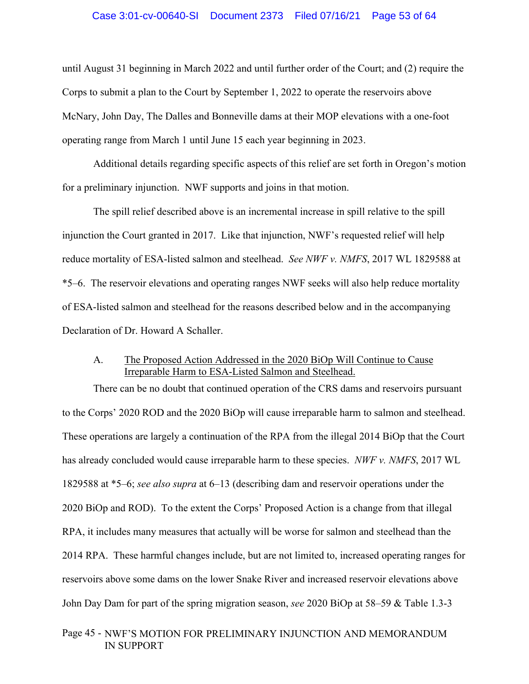### Case 3:01-cv-00640-SI Document 2373 Filed 07/16/21 Page 53 of 64

until August 31 beginning in March 2022 and until further order of the Court; and (2) require the Corps to submit a plan to the Court by September 1, 2022 to operate the reservoirs above McNary, John Day, The Dalles and Bonneville dams at their MOP elevations with a one-foot operating range from March 1 until June 15 each year beginning in 2023.

Additional details regarding specific aspects of this relief are set forth in Oregon's motion for a preliminary injunction. NWF supports and joins in that motion.

The spill relief described above is an incremental increase in spill relative to the spill injunction the Court granted in 2017. Like that injunction, NWF's requested relief will help reduce mortality of ESA-listed salmon and steelhead. *See NWF v. NMFS*, 2017 WL 1829588 at \*5–6. The reservoir elevations and operating ranges NWF seeks will also help reduce mortality of ESA-listed salmon and steelhead for the reasons described below and in the accompanying Declaration of Dr. Howard A Schaller.

# A. The Proposed Action Addressed in the 2020 BiOp Will Continue to Cause Irreparable Harm to ESA-Listed Salmon and Steelhead.

There can be no doubt that continued operation of the CRS dams and reservoirs pursuant to the Corps' 2020 ROD and the 2020 BiOp will cause irreparable harm to salmon and steelhead. These operations are largely a continuation of the RPA from the illegal 2014 BiOp that the Court has already concluded would cause irreparable harm to these species. *NWF v. NMFS*, 2017 WL 1829588 at \*5–6; *see also supra* at 6–13 (describing dam and reservoir operations under the 2020 BiOp and ROD). To the extent the Corps' Proposed Action is a change from that illegal RPA, it includes many measures that actually will be worse for salmon and steelhead than the 2014 RPA. These harmful changes include, but are not limited to, increased operating ranges for reservoirs above some dams on the lower Snake River and increased reservoir elevations above John Day Dam for part of the spring migration season, *see* 2020 BiOp at 58–59 & Table 1.3-3

# Page 45 - NWF'S MOTION FOR PRELIMINARY INJUNCTION AND MEMORANDUM IN SUPPORT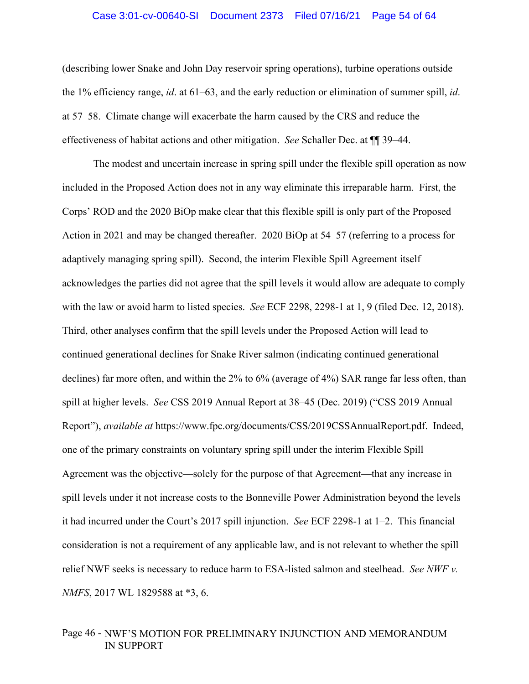#### Case 3:01-cv-00640-SI Document 2373 Filed 07/16/21 Page 54 of 64

(describing lower Snake and John Day reservoir spring operations), turbine operations outside the 1% efficiency range, *id*. at 61–63, and the early reduction or elimination of summer spill, *id*. at 57–58. Climate change will exacerbate the harm caused by the CRS and reduce the effectiveness of habitat actions and other mitigation. *See* Schaller Dec. at ¶¶ 39–44.

The modest and uncertain increase in spring spill under the flexible spill operation as now included in the Proposed Action does not in any way eliminate this irreparable harm. First, the Corps' ROD and the 2020 BiOp make clear that this flexible spill is only part of the Proposed Action in 2021 and may be changed thereafter. 2020 BiOp at 54–57 (referring to a process for adaptively managing spring spill). Second, the interim Flexible Spill Agreement itself acknowledges the parties did not agree that the spill levels it would allow are adequate to comply with the law or avoid harm to listed species. *See* ECF 2298, 2298-1 at 1, 9 (filed Dec. 12, 2018). Third, other analyses confirm that the spill levels under the Proposed Action will lead to continued generational declines for Snake River salmon (indicating continued generational declines) far more often, and within the 2% to 6% (average of 4%) SAR range far less often, than spill at higher levels. *See* CSS 2019 Annual Report at 38–45 (Dec. 2019) ("CSS 2019 Annual Report"), *available at* https://www.fpc.org/documents/CSS/2019CSSAnnualReport.pdf. Indeed, one of the primary constraints on voluntary spring spill under the interim Flexible Spill Agreement was the objective—solely for the purpose of that Agreement—that any increase in spill levels under it not increase costs to the Bonneville Power Administration beyond the levels it had incurred under the Court's 2017 spill injunction. *See* ECF 2298-1 at 1–2. This financial consideration is not a requirement of any applicable law, and is not relevant to whether the spill relief NWF seeks is necessary to reduce harm to ESA-listed salmon and steelhead. *See NWF v. NMFS*, 2017 WL 1829588 at \*3, 6.

# Page 46 - NWF'S MOTION FOR PRELIMINARY INJUNCTION AND MEMORANDUM IN SUPPORT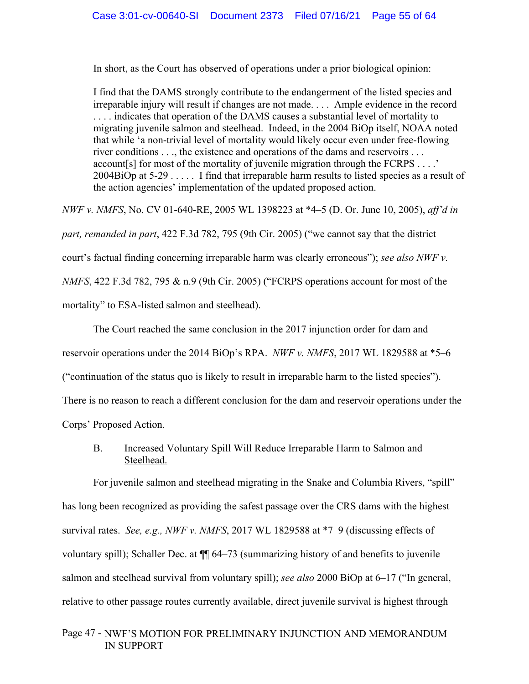In short, as the Court has observed of operations under a prior biological opinion:

I find that the DAMS strongly contribute to the endangerment of the listed species and irreparable injury will result if changes are not made. . . . Ample evidence in the record . . . . indicates that operation of the DAMS causes a substantial level of mortality to migrating juvenile salmon and steelhead. Indeed, in the 2004 BiOp itself, NOAA noted that while 'a non-trivial level of mortality would likely occur even under free-flowing river conditions . . ., the existence and operations of the dams and reservoirs . . . account[s] for most of the mortality of juvenile migration through the FCRPS . . . .' 2004BiOp at 5-29 . . . . . I find that irreparable harm results to listed species as a result of the action agencies' implementation of the updated proposed action.

*NWF v. NMFS*, No. CV 01-640-RE, 2005 WL 1398223 at \*4–5 (D. Or. June 10, 2005), *aff'd in part, remanded in part*, 422 F.3d 782, 795 (9th Cir. 2005) ("we cannot say that the district court's factual finding concerning irreparable harm was clearly erroneous"); *see also NWF v. NMFS*, 422 F.3d 782, 795 & n.9 (9th Cir. 2005) ("FCRPS operations account for most of the mortality" to ESA-listed salmon and steelhead).

 The Court reached the same conclusion in the 2017 injunction order for dam and reservoir operations under the 2014 BiOp's RPA. *NWF v. NMFS*, 2017 WL 1829588 at \*5–6 ("continuation of the status quo is likely to result in irreparable harm to the listed species"). There is no reason to reach a different conclusion for the dam and reservoir operations under the Corps' Proposed Action.

# B. Increased Voluntary Spill Will Reduce Irreparable Harm to Salmon and Steelhead.

For juvenile salmon and steelhead migrating in the Snake and Columbia Rivers, "spill" has long been recognized as providing the safest passage over the CRS dams with the highest survival rates. *See, e.g., NWF v. NMFS*, 2017 WL 1829588 at \*7–9 (discussing effects of voluntary spill); Schaller Dec. at ¶¶ 64–73 (summarizing history of and benefits to juvenile salmon and steelhead survival from voluntary spill); *see also* 2000 BiOp at 6–17 ("In general, relative to other passage routes currently available, direct juvenile survival is highest through

# Page 47 - NWF'S MOTION FOR PRELIMINARY INJUNCTION AND MEMORANDUM IN SUPPORT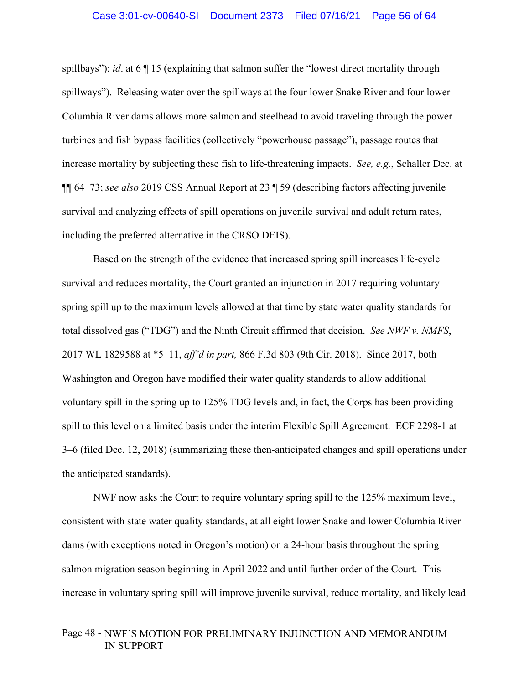spillbays"); *id*. at 6 ¶ 15 (explaining that salmon suffer the "lowest direct mortality through spillways"). Releasing water over the spillways at the four lower Snake River and four lower Columbia River dams allows more salmon and steelhead to avoid traveling through the power turbines and fish bypass facilities (collectively "powerhouse passage"), passage routes that increase mortality by subjecting these fish to life-threatening impacts. *See, e.g.*, Schaller Dec. at ¶¶ 64–73; *see also* 2019 CSS Annual Report at 23 ¶ 59 (describing factors affecting juvenile survival and analyzing effects of spill operations on juvenile survival and adult return rates, including the preferred alternative in the CRSO DEIS).

Based on the strength of the evidence that increased spring spill increases life-cycle survival and reduces mortality, the Court granted an injunction in 2017 requiring voluntary spring spill up to the maximum levels allowed at that time by state water quality standards for total dissolved gas ("TDG") and the Ninth Circuit affirmed that decision. *See NWF v. NMFS*, 2017 WL 1829588 at \*5–11, *aff'd in part,* 866 F.3d 803 (9th Cir. 2018). Since 2017, both Washington and Oregon have modified their water quality standards to allow additional voluntary spill in the spring up to 125% TDG levels and, in fact, the Corps has been providing spill to this level on a limited basis under the interim Flexible Spill Agreement. ECF 2298-1 at 3–6 (filed Dec. 12, 2018) (summarizing these then-anticipated changes and spill operations under the anticipated standards).

NWF now asks the Court to require voluntary spring spill to the 125% maximum level, consistent with state water quality standards, at all eight lower Snake and lower Columbia River dams (with exceptions noted in Oregon's motion) on a 24-hour basis throughout the spring salmon migration season beginning in April 2022 and until further order of the Court. This increase in voluntary spring spill will improve juvenile survival, reduce mortality, and likely lead

# Page 48 - NWF'S MOTION FOR PRELIMINARY INJUNCTION AND MEMORANDUM IN SUPPORT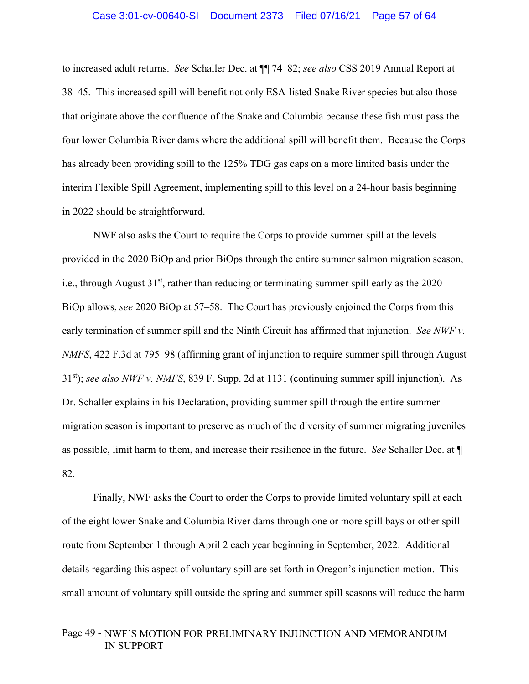to increased adult returns. *See* Schaller Dec. at ¶¶ 74–82; *see also* CSS 2019 Annual Report at 38–45. This increased spill will benefit not only ESA-listed Snake River species but also those that originate above the confluence of the Snake and Columbia because these fish must pass the four lower Columbia River dams where the additional spill will benefit them. Because the Corps has already been providing spill to the 125% TDG gas caps on a more limited basis under the interim Flexible Spill Agreement, implementing spill to this level on a 24-hour basis beginning in 2022 should be straightforward.

NWF also asks the Court to require the Corps to provide summer spill at the levels provided in the 2020 BiOp and prior BiOps through the entire summer salmon migration season, i.e., through August  $31<sup>st</sup>$ , rather than reducing or terminating summer spill early as the 2020 BiOp allows, *see* 2020 BiOp at 57–58. The Court has previously enjoined the Corps from this early termination of summer spill and the Ninth Circuit has affirmed that injunction. *See NWF v. NMFS*, 422 F.3d at 795–98 (affirming grant of injunction to require summer spill through August 31st); *see also NWF v. NMFS*, 839 F. Supp. 2d at 1131 (continuing summer spill injunction). As Dr. Schaller explains in his Declaration, providing summer spill through the entire summer migration season is important to preserve as much of the diversity of summer migrating juveniles as possible, limit harm to them, and increase their resilience in the future. *See* Schaller Dec. at ¶ 82.

Finally, NWF asks the Court to order the Corps to provide limited voluntary spill at each of the eight lower Snake and Columbia River dams through one or more spill bays or other spill route from September 1 through April 2 each year beginning in September, 2022. Additional details regarding this aspect of voluntary spill are set forth in Oregon's injunction motion. This small amount of voluntary spill outside the spring and summer spill seasons will reduce the harm

# Page 49 - NWF'S MOTION FOR PRELIMINARY INJUNCTION AND MEMORANDUM IN SUPPORT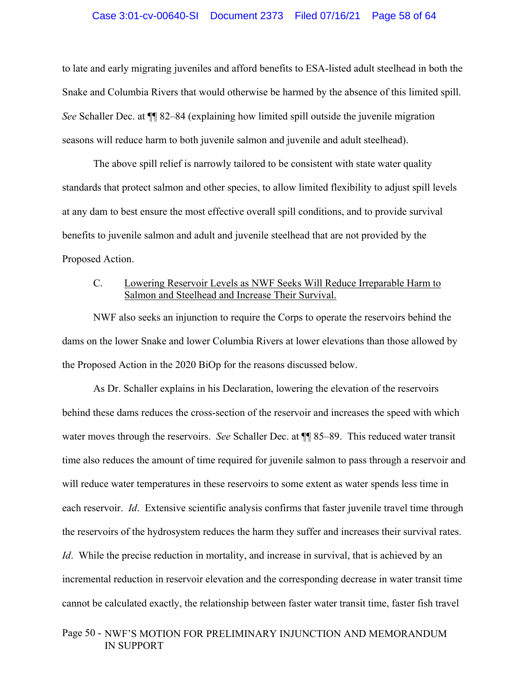#### Case 3:01-cv-00640-SI Document 2373 Filed 07/16/21 Page 58 of 64

to late and early migrating juveniles and afford benefits to ESA-listed adult steelhead in both the Snake and Columbia Rivers that would otherwise be harmed by the absence of this limited spill. *See* Schaller Dec. at ¶¶ 82–84 (explaining how limited spill outside the juvenile migration seasons will reduce harm to both juvenile salmon and juvenile and adult steelhead).

 The above spill relief is narrowly tailored to be consistent with state water quality standards that protect salmon and other species, to allow limited flexibility to adjust spill levels at any dam to best ensure the most effective overall spill conditions, and to provide survival benefits to juvenile salmon and adult and juvenile steelhead that are not provided by the Proposed Action.

# C. Lowering Reservoir Levels as NWF Seeks Will Reduce Irreparable Harm to Salmon and Steelhead and Increase Their Survival.

NWF also seeks an injunction to require the Corps to operate the reservoirs behind the dams on the lower Snake and lower Columbia Rivers at lower elevations than those allowed by the Proposed Action in the 2020 BiOp for the reasons discussed below.

As Dr. Schaller explains in his Declaration, lowering the elevation of the reservoirs behind these dams reduces the cross-section of the reservoir and increases the speed with which water moves through the reservoirs. *See* Schaller Dec. at ¶¶ 85–89. This reduced water transit time also reduces the amount of time required for juvenile salmon to pass through a reservoir and will reduce water temperatures in these reservoirs to some extent as water spends less time in each reservoir. *Id*. Extensive scientific analysis confirms that faster juvenile travel time through the reservoirs of the hydrosystem reduces the harm they suffer and increases their survival rates. *Id*. While the precise reduction in mortality, and increase in survival, that is achieved by an incremental reduction in reservoir elevation and the corresponding decrease in water transit time cannot be calculated exactly, the relationship between faster water transit time, faster fish travel

# Page 50 - NWF'S MOTION FOR PRELIMINARY INJUNCTION AND MEMORANDUM IN SUPPORT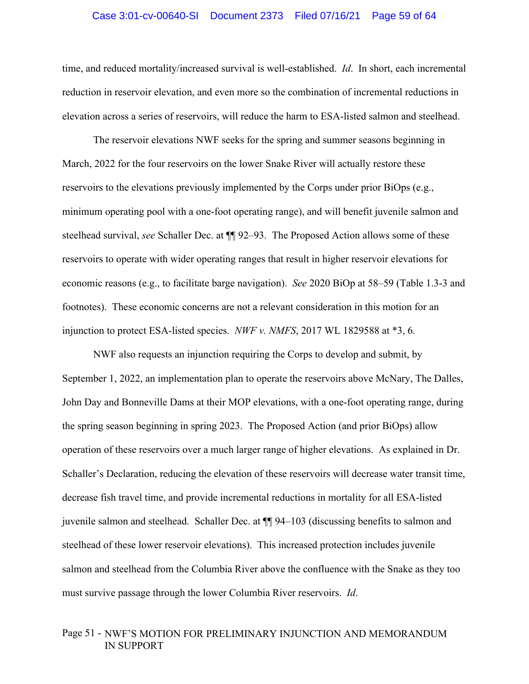# Case 3:01-cv-00640-SI Document 2373 Filed 07/16/21 Page 59 of 64

time, and reduced mortality/increased survival is well-established. *Id*. In short, each incremental reduction in reservoir elevation, and even more so the combination of incremental reductions in elevation across a series of reservoirs, will reduce the harm to ESA-listed salmon and steelhead.

The reservoir elevations NWF seeks for the spring and summer seasons beginning in March, 2022 for the four reservoirs on the lower Snake River will actually restore these reservoirs to the elevations previously implemented by the Corps under prior BiOps (e.g., minimum operating pool with a one-foot operating range), and will benefit juvenile salmon and steelhead survival, *see* Schaller Dec. at ¶¶ 92–93. The Proposed Action allows some of these reservoirs to operate with wider operating ranges that result in higher reservoir elevations for economic reasons (e.g., to facilitate barge navigation). *See* 2020 BiOp at 58–59 (Table 1.3-3 and footnotes). These economic concerns are not a relevant consideration in this motion for an injunction to protect ESA-listed species. *NWF v. NMFS*, 2017 WL 1829588 at \*3, 6.

NWF also requests an injunction requiring the Corps to develop and submit, by September 1, 2022, an implementation plan to operate the reservoirs above McNary, The Dalles, John Day and Bonneville Dams at their MOP elevations, with a one-foot operating range, during the spring season beginning in spring 2023. The Proposed Action (and prior BiOps) allow operation of these reservoirs over a much larger range of higher elevations. As explained in Dr. Schaller's Declaration, reducing the elevation of these reservoirs will decrease water transit time, decrease fish travel time, and provide incremental reductions in mortality for all ESA-listed juvenile salmon and steelhead. Schaller Dec. at ¶¶ 94–103 (discussing benefits to salmon and steelhead of these lower reservoir elevations). This increased protection includes juvenile salmon and steelhead from the Columbia River above the confluence with the Snake as they too must survive passage through the lower Columbia River reservoirs. *Id*.

# Page 51 - NWF'S MOTION FOR PRELIMINARY INJUNCTION AND MEMORANDUM IN SUPPORT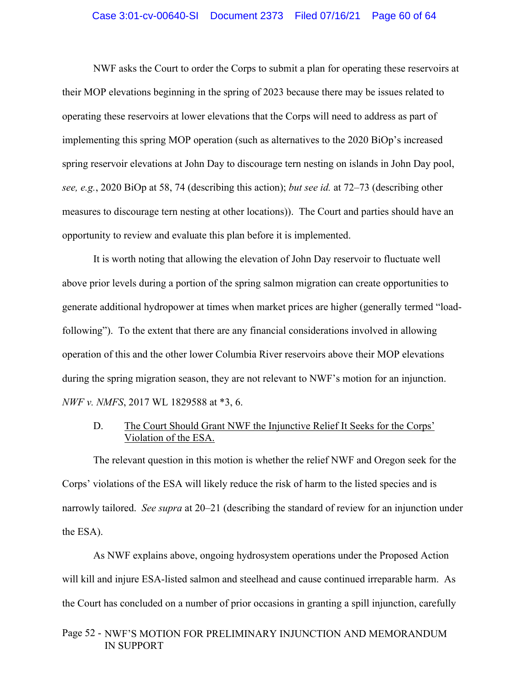### Case 3:01-cv-00640-SI Document 2373 Filed 07/16/21 Page 60 of 64

NWF asks the Court to order the Corps to submit a plan for operating these reservoirs at their MOP elevations beginning in the spring of 2023 because there may be issues related to operating these reservoirs at lower elevations that the Corps will need to address as part of implementing this spring MOP operation (such as alternatives to the 2020 BiOp's increased spring reservoir elevations at John Day to discourage tern nesting on islands in John Day pool, *see, e.g.*, 2020 BiOp at 58, 74 (describing this action); *but see id.* at 72–73 (describing other measures to discourage tern nesting at other locations)). The Court and parties should have an opportunity to review and evaluate this plan before it is implemented.

It is worth noting that allowing the elevation of John Day reservoir to fluctuate well above prior levels during a portion of the spring salmon migration can create opportunities to generate additional hydropower at times when market prices are higher (generally termed "loadfollowing"). To the extent that there are any financial considerations involved in allowing operation of this and the other lower Columbia River reservoirs above their MOP elevations during the spring migration season, they are not relevant to NWF's motion for an injunction. *NWF v. NMFS*, 2017 WL 1829588 at \*3, 6.

# D. The Court Should Grant NWF the Injunctive Relief It Seeks for the Corps' Violation of the ESA.

The relevant question in this motion is whether the relief NWF and Oregon seek for the Corps' violations of the ESA will likely reduce the risk of harm to the listed species and is narrowly tailored. *See supra* at 20–21 (describing the standard of review for an injunction under the ESA).

As NWF explains above, ongoing hydrosystem operations under the Proposed Action will kill and injure ESA-listed salmon and steelhead and cause continued irreparable harm. As the Court has concluded on a number of prior occasions in granting a spill injunction, carefully

# Page 52 - NWF'S MOTION FOR PRELIMINARY INJUNCTION AND MEMORANDUM IN SUPPORT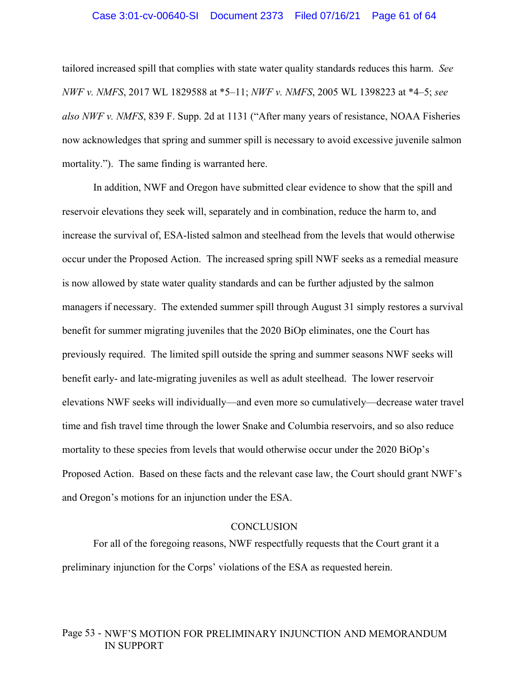#### Case 3:01-cv-00640-SI Document 2373 Filed 07/16/21 Page 61 of 64

tailored increased spill that complies with state water quality standards reduces this harm. *See NWF v. NMFS*, 2017 WL 1829588 at \*5–11; *NWF v. NMFS*, 2005 WL 1398223 at \*4–5; *see also NWF v. NMFS*, 839 F. Supp. 2d at 1131 ("After many years of resistance, NOAA Fisheries now acknowledges that spring and summer spill is necessary to avoid excessive juvenile salmon mortality."). The same finding is warranted here.

In addition, NWF and Oregon have submitted clear evidence to show that the spill and reservoir elevations they seek will, separately and in combination, reduce the harm to, and increase the survival of, ESA-listed salmon and steelhead from the levels that would otherwise occur under the Proposed Action. The increased spring spill NWF seeks as a remedial measure is now allowed by state water quality standards and can be further adjusted by the salmon managers if necessary. The extended summer spill through August 31 simply restores a survival benefit for summer migrating juveniles that the 2020 BiOp eliminates, one the Court has previously required. The limited spill outside the spring and summer seasons NWF seeks will benefit early- and late-migrating juveniles as well as adult steelhead. The lower reservoir elevations NWF seeks will individually—and even more so cumulatively—decrease water travel time and fish travel time through the lower Snake and Columbia reservoirs, and so also reduce mortality to these species from levels that would otherwise occur under the 2020 BiOp's Proposed Action. Based on these facts and the relevant case law, the Court should grant NWF's and Oregon's motions for an injunction under the ESA.

### **CONCLUSION**

For all of the foregoing reasons, NWF respectfully requests that the Court grant it a preliminary injunction for the Corps' violations of the ESA as requested herein.

# Page 53 - NWF'S MOTION FOR PRELIMINARY INJUNCTION AND MEMORANDUM IN SUPPORT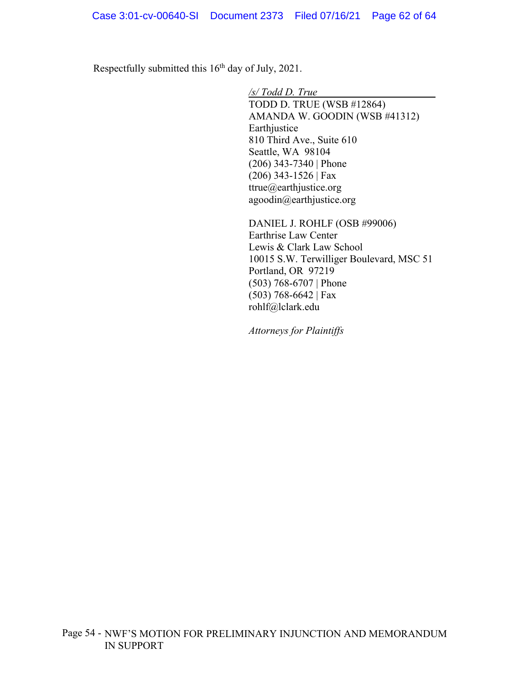Respectfully submitted this 16<sup>th</sup> day of July, 2021.

*/s/ Todd D. True*  TODD D. TRUE (WSB #12864) AMANDA W. GOODIN (WSB #41312) Earthjustice 810 Third Ave., Suite 610 Seattle, WA 98104 (206) 343-7340 | Phone (206) 343-1526 | Fax ttrue@earthjustice.org agoodin@earthjustice.org

DANIEL J. ROHLF (OSB #99006) Earthrise Law Center Lewis & Clark Law School 10015 S.W. Terwilliger Boulevard, MSC 51 Portland, OR 97219 (503) 768-6707 | Phone (503) 768-6642 | Fax rohlf@lclark.edu

*Attorneys for Plaintiffs*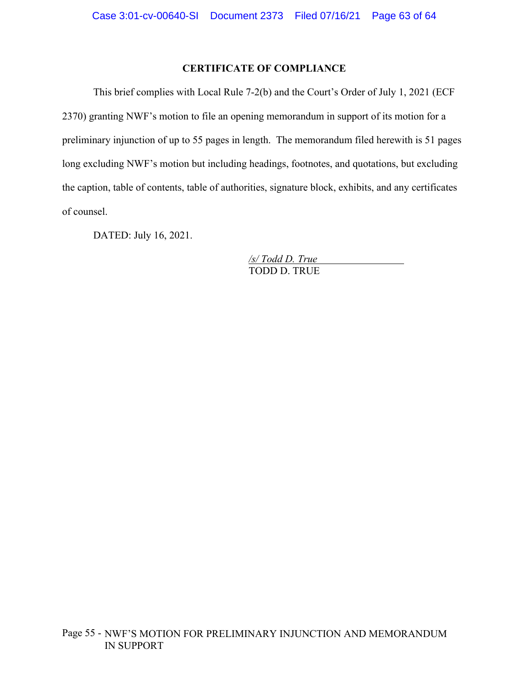# **CERTIFICATE OF COMPLIANCE**

This brief complies with Local Rule 7-2(b) and the Court's Order of July 1, 2021 (ECF 2370) granting NWF's motion to file an opening memorandum in support of its motion for a preliminary injunction of up to 55 pages in length. The memorandum filed herewith is 51 pages long excluding NWF's motion but including headings, footnotes, and quotations, but excluding the caption, table of contents, table of authorities, signature block, exhibits, and any certificates of counsel.

DATED: July 16, 2021.

*/s/ Todd D. True*  TODD D. TRUE